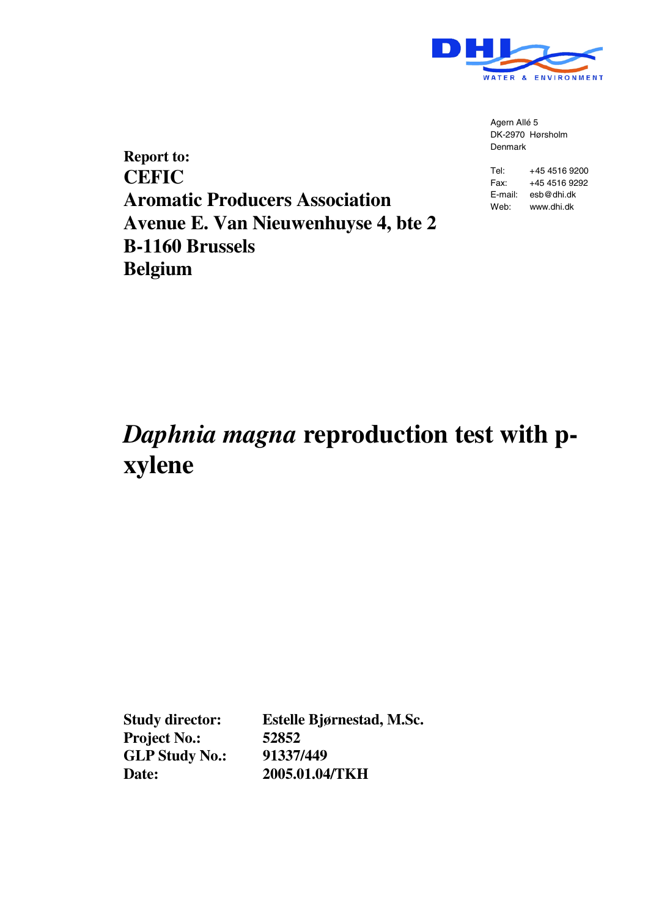

Agern Allé 5 DK-2970 Hørsholm Denmark

**Report to: CEFIC Aromatic Producers Association Avenue E. Van Nieuwenhuyse 4, bte 2 B-1160 Brussels Belgium**

Tel: +45 4516 9200 Fax: +45 4516 9292 E-mail: esb@dhi.dk Web: www.dhi.dk

# *Daphnia magna* **reproduction test with pxylene**

**Project No.: 52852 GLP Study No.: 91337/449**

**Study director: Estelle Bjørnestad, M.Sc. Date: 2005.01.04/TKH**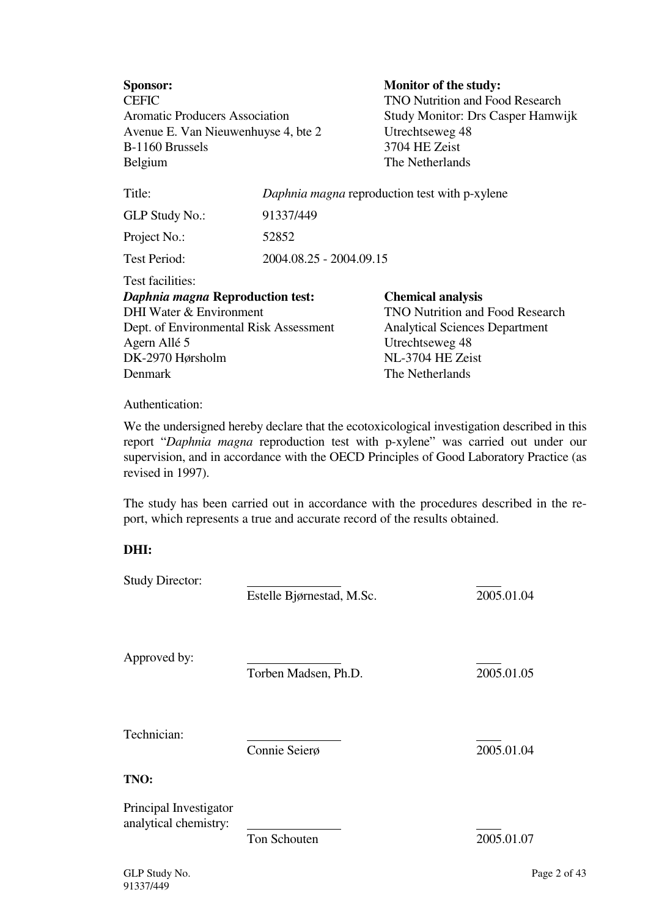| <b>Sponsor:</b><br><b>CEFIC</b><br><b>Aromatic Producers Association</b><br>Avenue E. Van Nieuwenhuyse 4, bte 2<br>B-1160 Brussels<br>Belgium                            |                         | <b>Monitor of the study:</b><br><b>TNO Nutrition and Food Research</b><br>Study Monitor: Drs Casper Hamwijk<br>Utrechtseweg 48<br>3704 HE Zeist<br>The Netherlands    |  |  |  |  |  |  |  |
|--------------------------------------------------------------------------------------------------------------------------------------------------------------------------|-------------------------|-----------------------------------------------------------------------------------------------------------------------------------------------------------------------|--|--|--|--|--|--|--|
| Title:                                                                                                                                                                   |                         | Daphnia magna reproduction test with p-xylene                                                                                                                         |  |  |  |  |  |  |  |
| <b>GLP Study No.:</b>                                                                                                                                                    | 91337/449               |                                                                                                                                                                       |  |  |  |  |  |  |  |
| Project No.:                                                                                                                                                             | 52852                   |                                                                                                                                                                       |  |  |  |  |  |  |  |
| <b>Test Period:</b>                                                                                                                                                      | 2004.08.25 - 2004.09.15 |                                                                                                                                                                       |  |  |  |  |  |  |  |
| Test facilities:<br>Daphnia magna Reproduction test:<br>DHI Water & Environment<br>Dept. of Environmental Risk Assessment<br>Agern Allé 5<br>DK-2970 Hørsholm<br>Denmark |                         | <b>Chemical analysis</b><br><b>TNO Nutrition and Food Research</b><br><b>Analytical Sciences Department</b><br>Utrechtseweg 48<br>NL-3704 HE Zeist<br>The Netherlands |  |  |  |  |  |  |  |
| Authontication:                                                                                                                                                          |                         |                                                                                                                                                                       |  |  |  |  |  |  |  |

Authentication:

We the undersigned hereby declare that the ecotoxicological investigation described in this report "*Daphnia magna* reproduction test with p-xylene" was carried out under our supervision, and in accordance with the OECD Principles of Good Laboratory Practice (as revised in 1997).

The study has been carried out in accordance with the procedures described in the report, which represents a true and accurate record of the results obtained.

## **DHI:**

| <b>Study Director:</b>                          | Estelle Bjørnestad, M.Sc. | 2005.01.04   |
|-------------------------------------------------|---------------------------|--------------|
| Approved by:                                    | Torben Madsen, Ph.D.      | 2005.01.05   |
| Technician:                                     | Connie Seierø             | 2005.01.04   |
| TNO:                                            |                           |              |
| Principal Investigator<br>analytical chemistry: | Ton Schouten              | 2005.01.07   |
| GLP Study No.                                   |                           | Page 2 of 43 |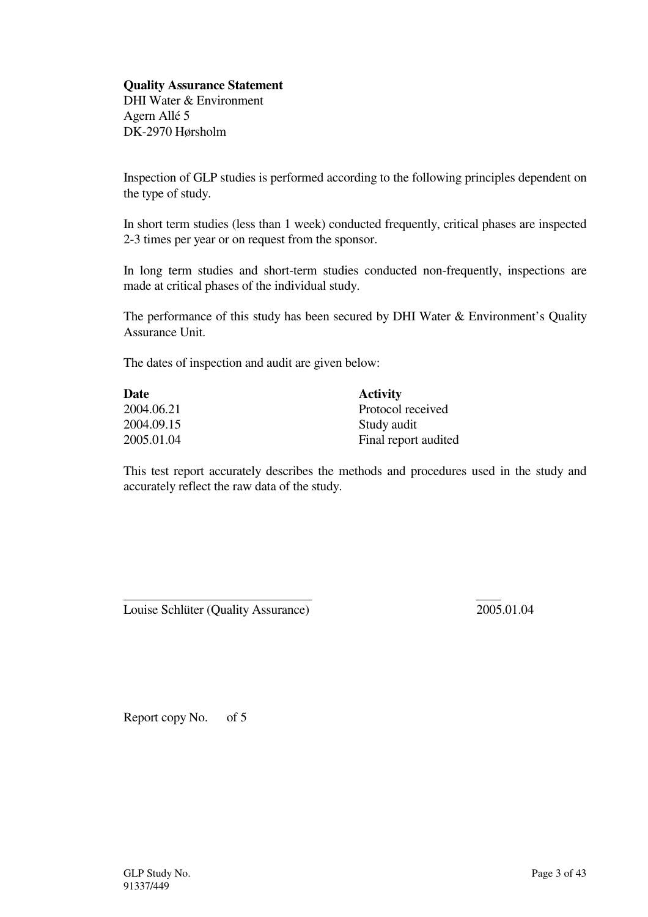## **Quality Assurance Statement**

DHI Water & Environment Agern Allé 5 DK-2970 Hørsholm

Inspection of GLP studies is performed according to the following principles dependent on the type of study.

In short term studies (less than 1 week) conducted frequently, critical phases are inspected 2-3 times per year or on request from the sponsor.

In long term studies and short-term studies conducted non-frequently, inspections are made at critical phases of the individual study.

The performance of this study has been secured by DHI Water & Environment's Quality Assurance Unit.

The dates of inspection and audit are given below:

| Date       | <b>Activity</b>      |
|------------|----------------------|
| 2004.06.21 | Protocol received    |
| 2004.09.15 | Study audit          |
| 2005.01.04 | Final report audited |

This test report accurately describes the methods and procedures used in the study and accurately reflect the raw data of the study.

Louise Schlüter (Quality Assurance) 2005.01.04

Report copy No. of 5

 $\overline{a}$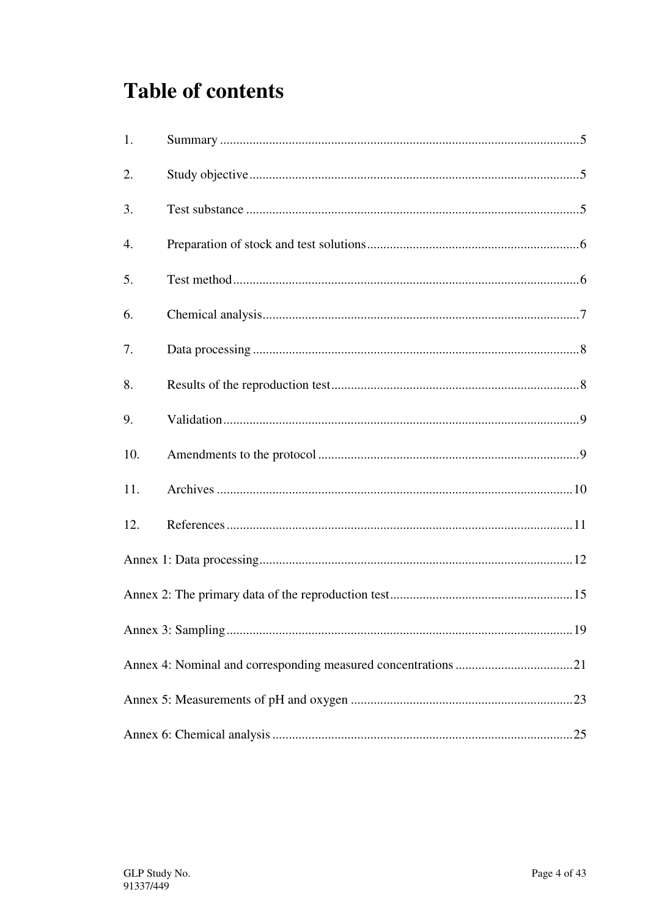# **Table of contents**

| 1.  |  |
|-----|--|
| 2.  |  |
| 3.  |  |
| 4.  |  |
| 5.  |  |
| 6.  |  |
| 7.  |  |
| 8.  |  |
| 9.  |  |
| 10. |  |
| 11. |  |
| 12. |  |
|     |  |
|     |  |
|     |  |
|     |  |
|     |  |
|     |  |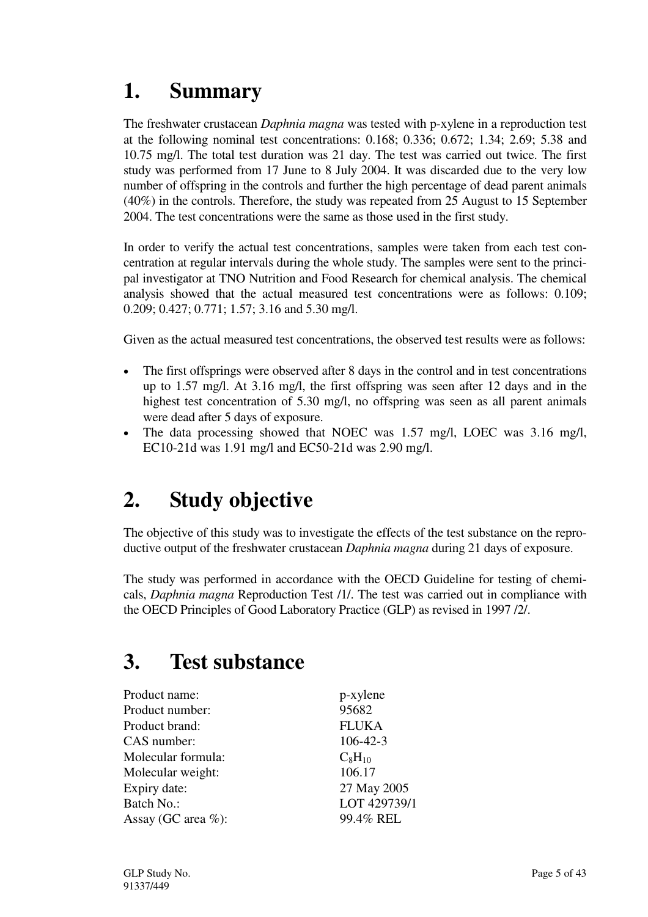# **1. Summary**

The freshwater crustacean *Daphnia magna* was tested with p-xylene in a reproduction test at the following nominal test concentrations: 0.168; 0.336; 0.672; 1.34; 2.69; 5.38 and 10.75 mg/l. The total test duration was 21 day. The test was carried out twice. The first study was performed from 17 June to 8 July 2004. It was discarded due to the very low number of offspring in the controls and further the high percentage of dead parent animals (40%) in the controls. Therefore, the study was repeated from 25 August to 15 September 2004. The test concentrations were the same as those used in the first study.

In order to verify the actual test concentrations, samples were taken from each test concentration at regular intervals during the whole study. The samples were sent to the principal investigator at TNO Nutrition and Food Research for chemical analysis. The chemical analysis showed that the actual measured test concentrations were as follows: 0.109; 0.209; 0.427; 0.771; 1.57; 3.16 and 5.30 mg/l.

Given as the actual measured test concentrations, the observed test results were as follows:

- The first offsprings were observed after 8 days in the control and in test concentrations up to 1.57 mg/l. At 3.16 mg/l, the first offspring was seen after 12 days and in the highest test concentration of 5.30 mg/l, no offspring was seen as all parent animals were dead after 5 days of exposure.
- The data processing showed that NOEC was 1.57 mg/l, LOEC was 3.16 mg/l, EC10-21d was 1.91 mg/l and EC50-21d was 2.90 mg/l.

# **2. Study objective**

The objective of this study was to investigate the effects of the test substance on the reproductive output of the freshwater crustacean *Daphnia magna* during 21 days of exposure.

The study was performed in accordance with the OECD Guideline for testing of chemicals, *Daphnia magna* Reproduction Test /1/. The test was carried out in compliance with the OECD Principles of Good Laboratory Practice (GLP) as revised in 1997 /2/.

# **3. Test substance**

| Product name:          | p-xylene       |
|------------------------|----------------|
| Product number:        | 95682          |
| Product brand:         | <b>FLUKA</b>   |
| CAS number:            | $106 - 42 - 3$ |
| Molecular formula:     | $C_8H_{10}$    |
| Molecular weight:      | 106.17         |
| Expiry date:           | 27 May 2005    |
| Batch No.:             | LOT 429739/1   |
| Assay (GC area $\%$ ): | 99.4% REL      |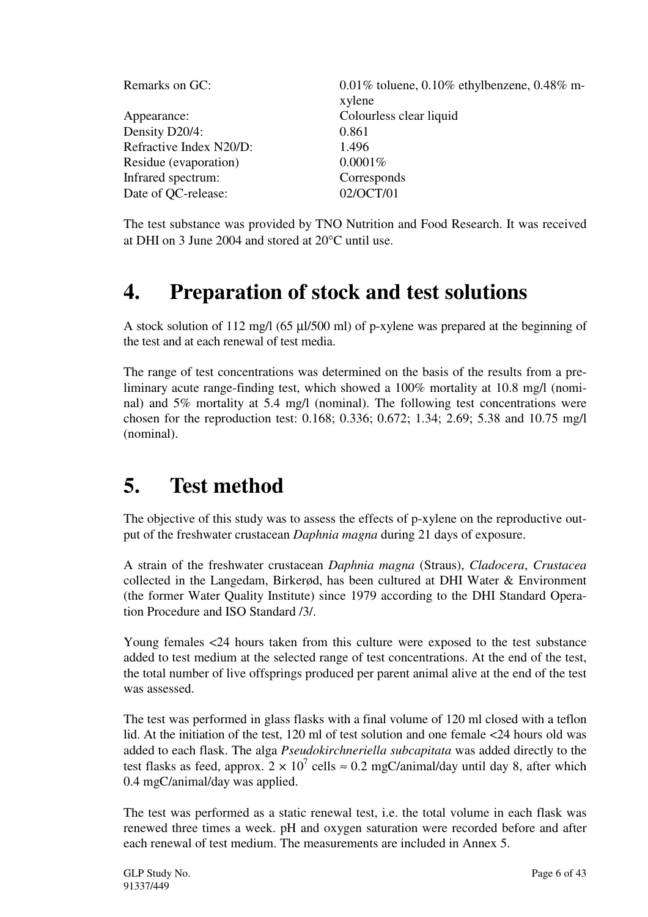| Remarks on GC:          | 0.01% toluene, 0.10% ethylbenzene, 0.48% m- |
|-------------------------|---------------------------------------------|
|                         | xylene                                      |
| Appearance:             | Colourless clear liquid                     |
| Density D20/4:          | 0.861                                       |
| Refractive Index N20/D: | 1.496                                       |
| Residue (evaporation)   | $0.0001\%$                                  |
| Infrared spectrum:      | Corresponds                                 |
| Date of QC-release:     | 02/OCT/01                                   |
|                         |                                             |

The test substance was provided by TNO Nutrition and Food Research. It was received at DHI on 3 June 2004 and stored at 20°C until use.

# **4. Preparation of stock and test solutions**

A stock solution of 112 mg/l (65 µl/500 ml) of p-xylene was prepared at the beginning of the test and at each renewal of test media.

The range of test concentrations was determined on the basis of the results from a preliminary acute range-finding test, which showed a 100% mortality at 10.8 mg/l (nominal) and 5% mortality at 5.4 mg/l (nominal). The following test concentrations were chosen for the reproduction test: 0.168; 0.336; 0.672; 1.34; 2.69; 5.38 and 10.75 mg/l (nominal).

## **5. Test method**

The objective of this study was to assess the effects of p-xylene on the reproductive output of the freshwater crustacean *Daphnia magna* during 21 days of exposure.

A strain of the freshwater crustacean *Daphnia magna* (Straus), *Cladocera*, *Crustacea* collected in the Langedam, Birkerød, has been cultured at DHI Water & Environment (the former Water Quality Institute) since 1979 according to the DHI Standard Operation Procedure and ISO Standard /3/.

Young females <24 hours taken from this culture were exposed to the test substance added to test medium at the selected range of test concentrations. At the end of the test, the total number of live offsprings produced per parent animal alive at the end of the test was assessed.

The test was performed in glass flasks with a final volume of 120 ml closed with a teflon lid. At the initiation of the test, 120 ml of test solution and one female <24 hours old was added to each flask. The alga *Pseudokirchneriella subcapitata* was added directly to the test flasks as feed, approx.  $2 \times 10^7$  cells  $\approx 0.2$  mgC/animal/day until day 8, after which 0.4 mgC/animal/day was applied.

The test was performed as a static renewal test, i.e. the total volume in each flask was renewed three times a week. pH and oxygen saturation were recorded before and after each renewal of test medium. The measurements are included in Annex 5.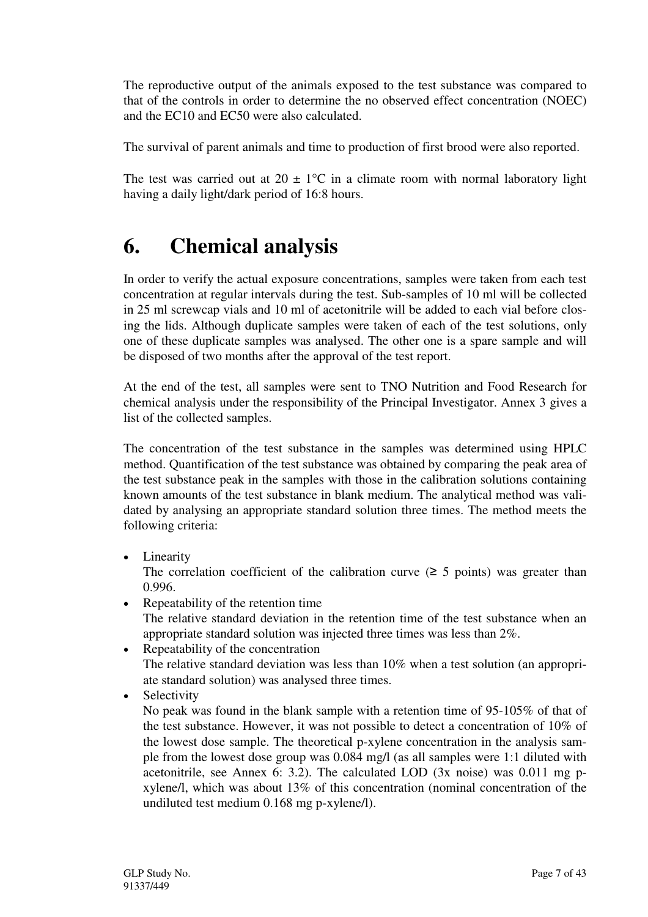The reproductive output of the animals exposed to the test substance was compared to that of the controls in order to determine the no observed effect concentration (NOEC) and the EC10 and EC50 were also calculated.

The survival of parent animals and time to production of first brood were also reported.

The test was carried out at  $20 \pm 1$ °C in a climate room with normal laboratory light having a daily light/dark period of 16:8 hours.

# **6. Chemical analysis**

In order to verify the actual exposure concentrations, samples were taken from each test concentration at regular intervals during the test. Sub-samples of 10 ml will be collected in 25 ml screwcap vials and 10 ml of acetonitrile will be added to each vial before closing the lids. Although duplicate samples were taken of each of the test solutions, only one of these duplicate samples was analysed. The other one is a spare sample and will be disposed of two months after the approval of the test report.

At the end of the test, all samples were sent to TNO Nutrition and Food Research for chemical analysis under the responsibility of the Principal Investigator. Annex 3 gives a list of the collected samples.

The concentration of the test substance in the samples was determined using HPLC method. Quantification of the test substance was obtained by comparing the peak area of the test substance peak in the samples with those in the calibration solutions containing known amounts of the test substance in blank medium. The analytical method was validated by analysing an appropriate standard solution three times. The method meets the following criteria:

• Linearity

The correlation coefficient of the calibration curve  $(≥ 5$  points) was greater than 0.996.

- Repeatability of the retention time The relative standard deviation in the retention time of the test substance when an appropriate standard solution was injected three times was less than 2%.
- Repeatability of the concentration The relative standard deviation was less than 10% when a test solution (an appropriate standard solution) was analysed three times.
- **Selectivity**

No peak was found in the blank sample with a retention time of 95-105% of that of the test substance. However, it was not possible to detect a concentration of 10% of the lowest dose sample. The theoretical p-xylene concentration in the analysis sample from the lowest dose group was 0.084 mg/l (as all samples were 1:1 diluted with acetonitrile, see Annex 6: 3.2). The calculated LOD (3x noise) was 0.011 mg pxylene/l, which was about 13% of this concentration (nominal concentration of the undiluted test medium 0.168 mg p-xylene/l).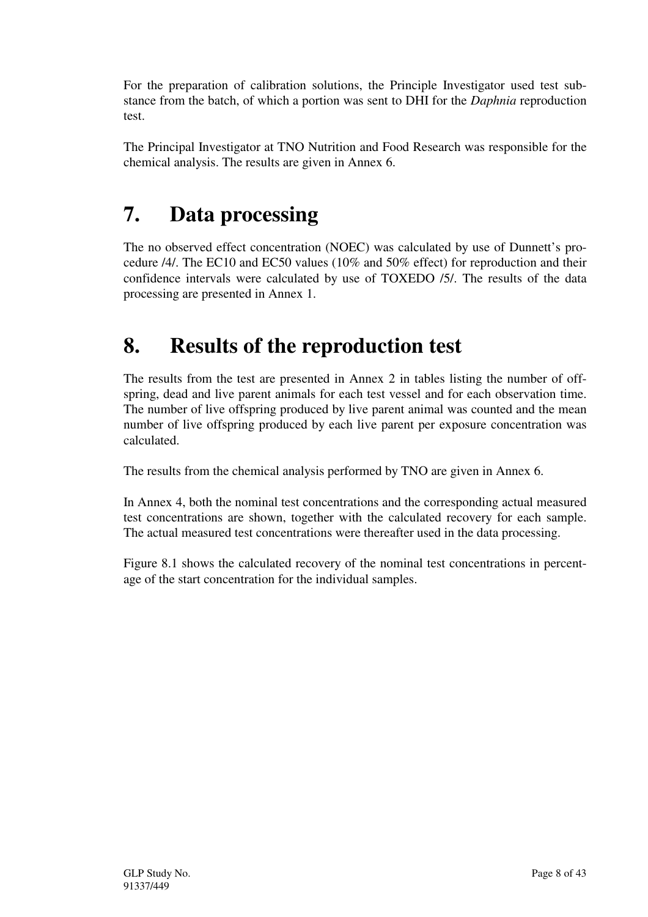For the preparation of calibration solutions, the Principle Investigator used test substance from the batch, of which a portion was sent to DHI for the *Daphnia* reproduction test.

The Principal Investigator at TNO Nutrition and Food Research was responsible for the chemical analysis. The results are given in Annex 6.

# **7. Data processing**

The no observed effect concentration (NOEC) was calculated by use of Dunnett's procedure /4/. The EC10 and EC50 values (10% and 50% effect) for reproduction and their confidence intervals were calculated by use of TOXEDO /5/. The results of the data processing are presented in Annex 1.

# **8. Results of the reproduction test**

The results from the test are presented in Annex 2 in tables listing the number of offspring, dead and live parent animals for each test vessel and for each observation time. The number of live offspring produced by live parent animal was counted and the mean number of live offspring produced by each live parent per exposure concentration was calculated.

The results from the chemical analysis performed by TNO are given in Annex 6.

In Annex 4, both the nominal test concentrations and the corresponding actual measured test concentrations are shown, together with the calculated recovery for each sample. The actual measured test concentrations were thereafter used in the data processing.

Figure 8.1 shows the calculated recovery of the nominal test concentrations in percentage of the start concentration for the individual samples.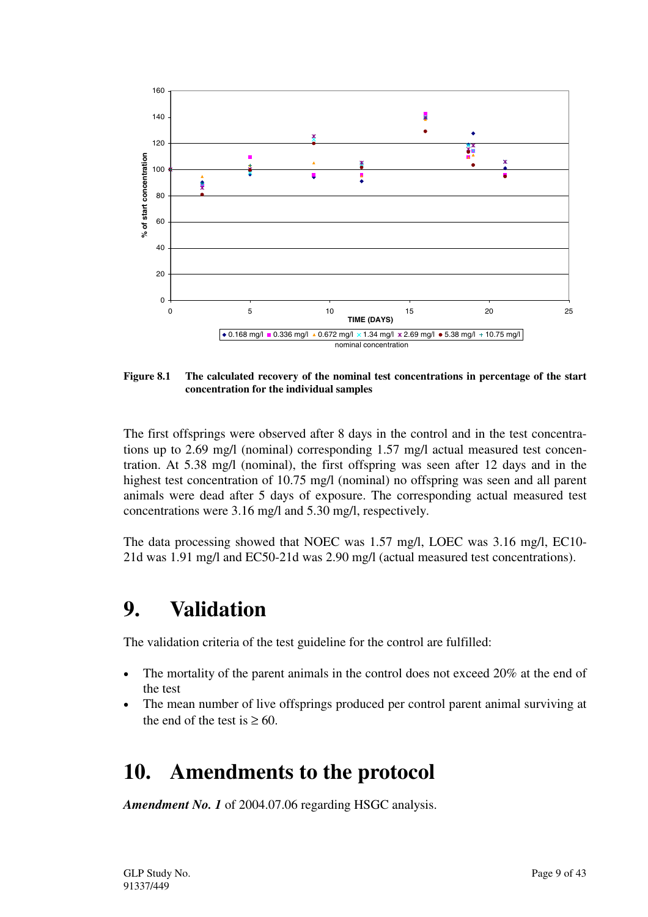

**Figure 8.1 The calculated recovery of the nominal test concentrations in percentage of the start concentration for the individual samples**

The first offsprings were observed after 8 days in the control and in the test concentrations up to 2.69 mg/l (nominal) corresponding 1.57 mg/l actual measured test concentration. At 5.38 mg/l (nominal), the first offspring was seen after 12 days and in the highest test concentration of 10.75 mg/l (nominal) no offspring was seen and all parent animals were dead after 5 days of exposure. The corresponding actual measured test concentrations were 3.16 mg/l and 5.30 mg/l, respectively.

The data processing showed that NOEC was 1.57 mg/l, LOEC was 3.16 mg/l, EC10- 21d was 1.91 mg/l and EC50-21d was 2.90 mg/l (actual measured test concentrations).

# **9. Validation**

The validation criteria of the test guideline for the control are fulfilled:

- The mortality of the parent animals in the control does not exceed 20% at the end of the test
- The mean number of live offsprings produced per control parent animal surviving at the end of the test is  $\geq 60$ .

## **10. Amendments to the protocol**

*Amendment No. 1* of 2004.07.06 regarding HSGC analysis.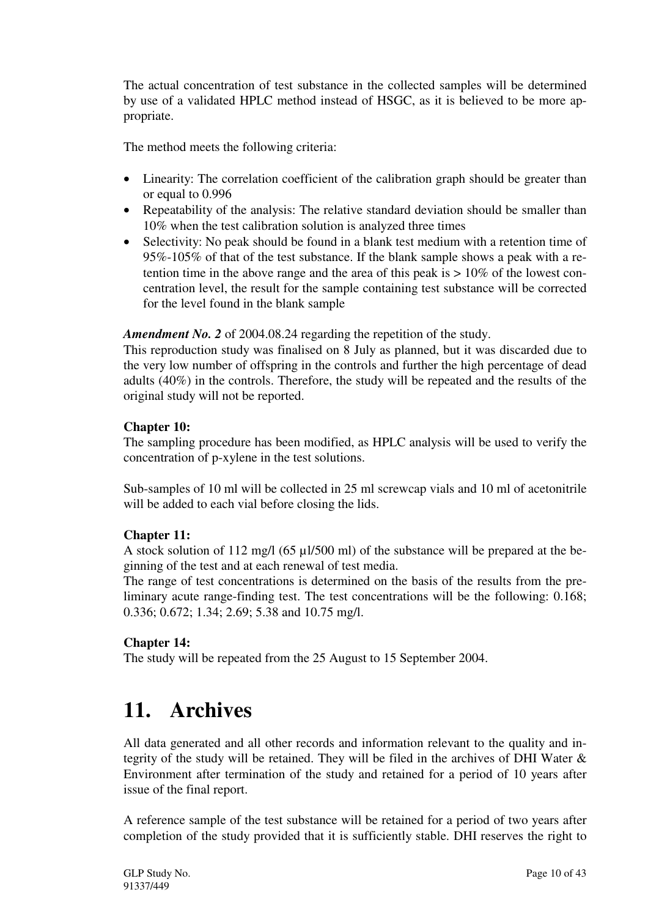The actual concentration of test substance in the collected samples will be determined by use of a validated HPLC method instead of HSGC, as it is believed to be more appropriate.

The method meets the following criteria:

- Linearity: The correlation coefficient of the calibration graph should be greater than or equal to 0.996
- Repeatability of the analysis: The relative standard deviation should be smaller than 10% when the test calibration solution is analyzed three times
- Selectivity: No peak should be found in a blank test medium with a retention time of 95%-105% of that of the test substance. If the blank sample shows a peak with a retention time in the above range and the area of this peak is  $> 10\%$  of the lowest concentration level, the result for the sample containing test substance will be corrected for the level found in the blank sample

*Amendment No. 2* of 2004.08.24 regarding the repetition of the study.

This reproduction study was finalised on 8 July as planned, but it was discarded due to the very low number of offspring in the controls and further the high percentage of dead adults (40%) in the controls. Therefore, the study will be repeated and the results of the original study will not be reported.

## **Chapter 10:**

The sampling procedure has been modified, as HPLC analysis will be used to verify the concentration of p-xylene in the test solutions.

Sub-samples of 10 ml will be collected in 25 ml screwcap vials and 10 ml of acetonitrile will be added to each vial before closing the lids.

## **Chapter 11:**

A stock solution of 112 mg/l (65 µl/500 ml) of the substance will be prepared at the beginning of the test and at each renewal of test media.

The range of test concentrations is determined on the basis of the results from the preliminary acute range-finding test. The test concentrations will be the following: 0.168; 0.336; 0.672; 1.34; 2.69; 5.38 and 10.75 mg/l.

## **Chapter 14:**

The study will be repeated from the 25 August to 15 September 2004.

## **11. Archives**

All data generated and all other records and information relevant to the quality and integrity of the study will be retained. They will be filed in the archives of DHI Water & Environment after termination of the study and retained for a period of 10 years after issue of the final report.

A reference sample of the test substance will be retained for a period of two years after completion of the study provided that it is sufficiently stable. DHI reserves the right to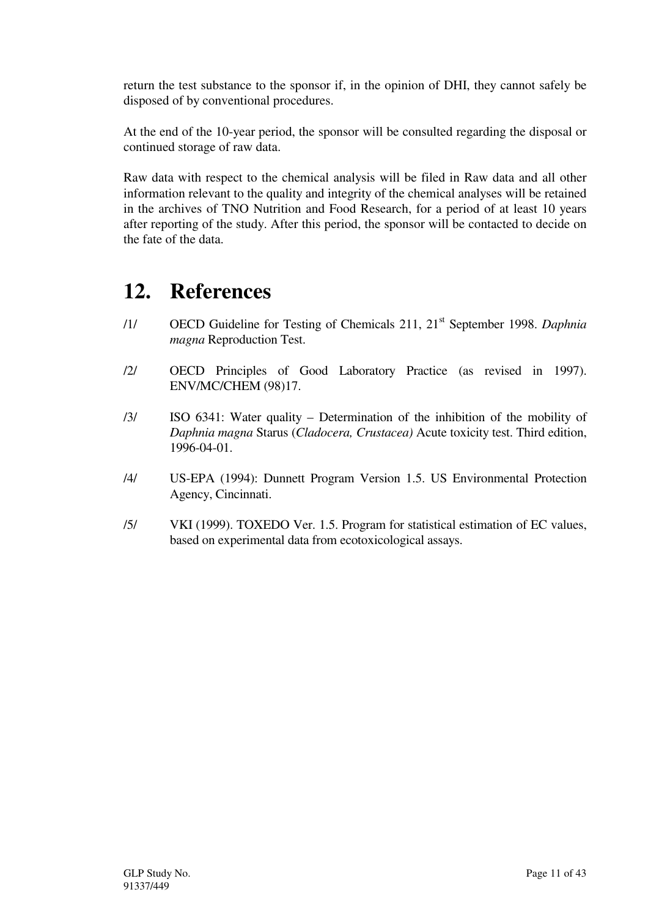return the test substance to the sponsor if, in the opinion of DHI, they cannot safely be disposed of by conventional procedures.

At the end of the 10-year period, the sponsor will be consulted regarding the disposal or continued storage of raw data.

Raw data with respect to the chemical analysis will be filed in Raw data and all other information relevant to the quality and integrity of the chemical analyses will be retained in the archives of TNO Nutrition and Food Research, for a period of at least 10 years after reporting of the study. After this period, the sponsor will be contacted to decide on the fate of the data.

# **12. References**

- /1/ OECD Guideline for Testing of Chemicals 211, 21st September 1998. *Daphnia magna* Reproduction Test.
- /2/ OECD Principles of Good Laboratory Practice (as revised in 1997). ENV/MC/CHEM (98)17.
- /3/ ISO 6341: Water quality Determination of the inhibition of the mobility of *Daphnia magna* Starus (*Cladocera, Crustacea)* Acute toxicity test. Third edition, 1996-04-01.
- /4/ US-EPA (1994): Dunnett Program Version 1.5. US Environmental Protection Agency, Cincinnati.
- /5/ VKI (1999). TOXEDO Ver. 1.5. Program for statistical estimation of EC values, based on experimental data from ecotoxicological assays.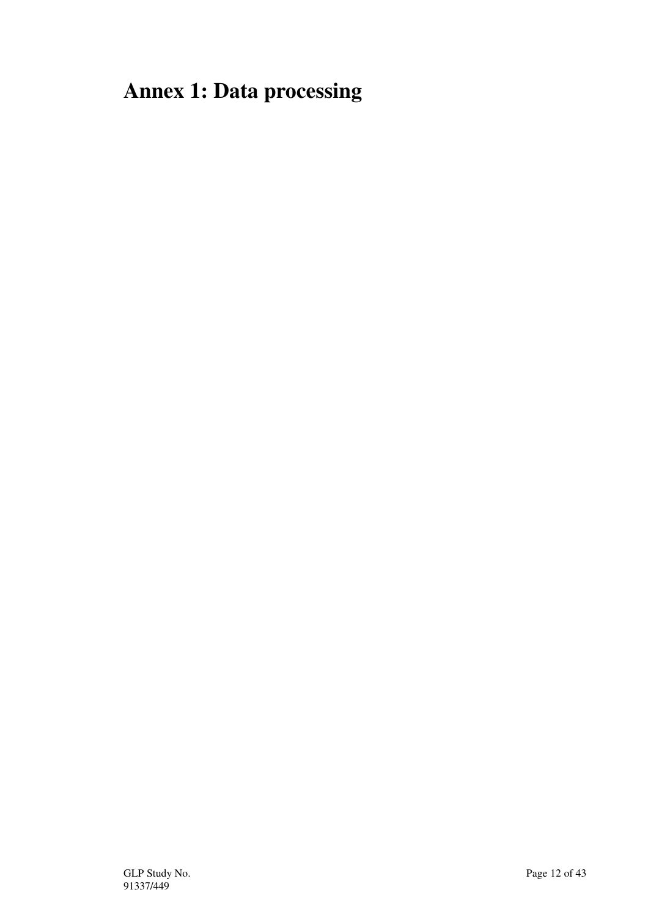# **Annex 1: Data processing**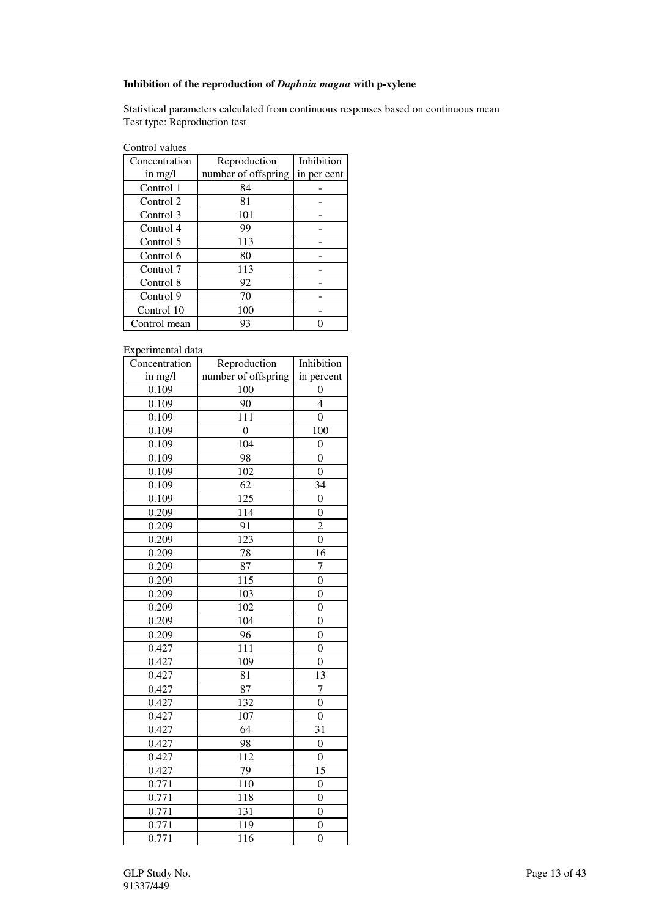## **Inhibition of the reproduction of** *Daphnia magna* **with p-xylene**

Statistical parameters calculated from continuous responses based on continuous mean Test type: Reproduction test

| Control values |  |
|----------------|--|
|----------------|--|

| Concentration | Reproduction        | Inhibition  |
|---------------|---------------------|-------------|
| in $mg/l$     | number of offspring | in per cent |
| Control 1     | 84                  |             |
| Control 2     | 81                  |             |
| Control 3     | 101                 |             |
| Control 4     | 99                  |             |
| Control 5     | 113                 |             |
| Control 6     | 80                  |             |
| Control 7     | 113                 |             |
| Control 8     | 92                  |             |
| Control 9     | 70                  |             |
| Control 10    | 100                 |             |
| Control mean  | 93                  |             |

Experimental data

| Concentration | Reproduction        | Inhibition       |
|---------------|---------------------|------------------|
| in mg/l       | number of offspring | in percent       |
| 0.109         | 100                 | 0                |
| 0.109         | 90                  | $\overline{4}$   |
| 0.109         | 111                 | $\boldsymbol{0}$ |
| 0.109         | $\boldsymbol{0}$    | 100              |
| 0.109         | 104                 | $\boldsymbol{0}$ |
| 0.109         | 98                  | $\overline{0}$   |
| 0.109         | 102                 | $\boldsymbol{0}$ |
| 0.109         | 62                  | 34               |
| 0.109         | $\overline{125}$    | $\overline{0}$   |
| 0.209         | 114                 | $\overline{0}$   |
| 0.209         | 91                  | $\overline{2}$   |
| 0.209         | $\overline{123}$    | $\overline{0}$   |
| 0.209         | 78                  | 16               |
| 0.209         | 87                  | 7                |
| 0.209         | 115                 | $\overline{0}$   |
| 0.209         | 103                 | $\boldsymbol{0}$ |
| 0.209         | 102                 | $\overline{0}$   |
| 0.209         | 104                 | $\overline{0}$   |
| 0.209         | 96                  | $\overline{0}$   |
| 0.427         | 111                 | $\overline{0}$   |
| 0.427         | 109                 | $\overline{0}$   |
| 0.427         | 81                  | 13               |
| 0.427         | 87                  | $\overline{7}$   |
| 0.427         | 132                 | $\boldsymbol{0}$ |
| 0.427         | 107                 | $\boldsymbol{0}$ |
| 0.427         | 64                  | 31               |
| 0.427         | 98                  | $\boldsymbol{0}$ |
| 0.427         | 112                 | $\overline{0}$   |
| 0.427         | 79                  | 15               |
| 0.771         | 110                 | $\boldsymbol{0}$ |
| 0.771         | 118                 | $\overline{0}$   |
| 0.771         | 131                 | $\overline{0}$   |
| 0.771         | 119                 | $\overline{0}$   |
| 0.771         | 116                 | $\overline{0}$   |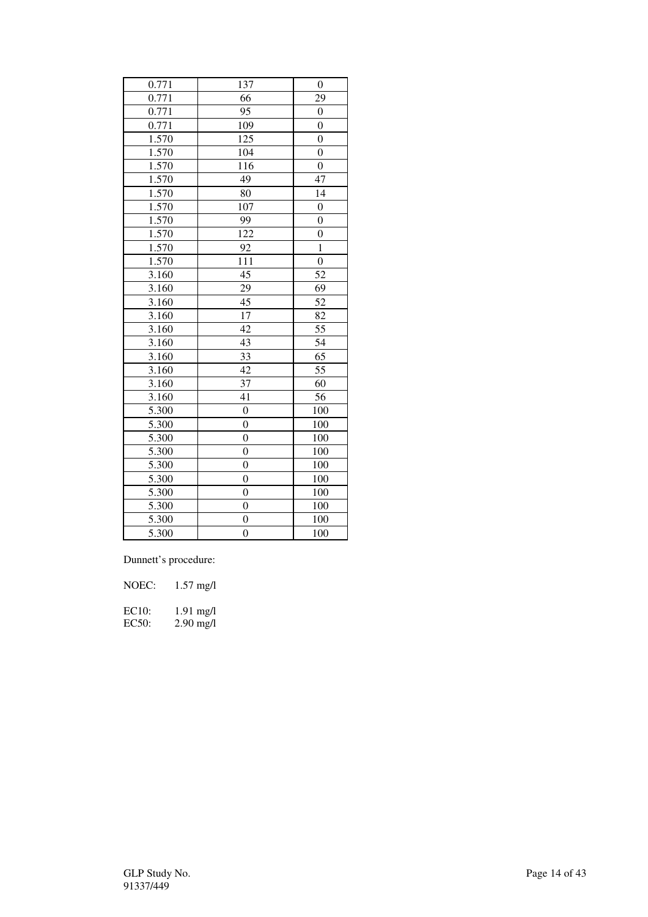| 0.771              | 137              | $\boldsymbol{0}$ |
|--------------------|------------------|------------------|
| 0.771              | 66               | 29               |
| 0.771              | $\overline{95}$  | $\overline{0}$   |
| 0.771              | 109              | $\overline{0}$   |
| 1.570              | 125              | $\boldsymbol{0}$ |
| 1.570              | 104              | $\boldsymbol{0}$ |
| 1.570              | 116              | $\overline{0}$   |
| $\overline{1.570}$ | 49               | 47               |
| 1.570              | 80               | 14               |
| 1.570              | 107              | $\boldsymbol{0}$ |
| 1.570              | 99               | $\overline{0}$   |
| 1.570              | 122              | $\boldsymbol{0}$ |
| 1.570              | 92               | $\mathbf{1}$     |
| 1.570              | 111              | $\overline{0}$   |
| 3.160              | $\overline{45}$  | 52               |
| 3.160              | 29               | 69               |
| 3.160              | 45               | 52               |
| 3.160              | 17               | 82               |
| 3.160              | $\overline{42}$  | 55               |
| 3.160              | 43               | $\overline{54}$  |
| 3.160              | 33               | 65               |
| 3.160              | 42               | 55               |
| 3.160              | 37               | 60               |
| 3.160              | 41               | 56               |
| 5.300              | $\boldsymbol{0}$ | 100              |
| 5.300              | $\overline{0}$   | 100              |
| 5.300              | $\overline{0}$   | 100              |
| 5.300              | $\overline{0}$   | 100              |
| 5.300              | $\overline{0}$   | 100              |
| 5.300              | $\boldsymbol{0}$ | 100              |
| 5.300              | $\overline{0}$   | 100              |
| 5.300              | 0                | 100              |
| 5.300              | $\overline{0}$   | 100              |
| 5.300              | $\overline{0}$   | 100              |

Dunnett's procedure:

| NOEC:              | $1.57 \text{ mg/l}$ |
|--------------------|---------------------|
| EC10:              | $1.91 \text{ mg/l}$ |
| EC <sub>50</sub> : | $2.90 \text{ mg/l}$ |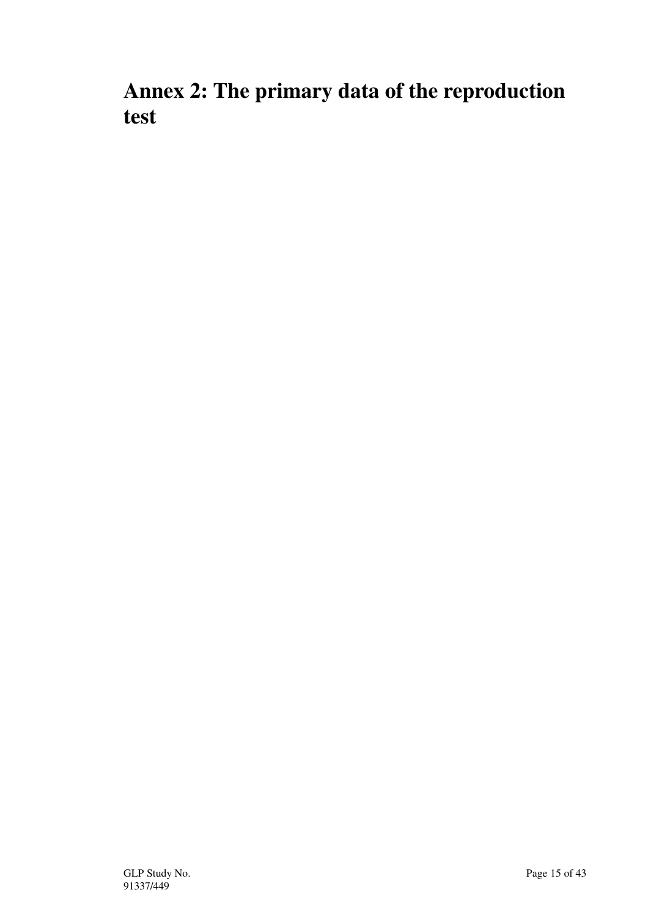**Annex 2: The primary data of the reproduction test**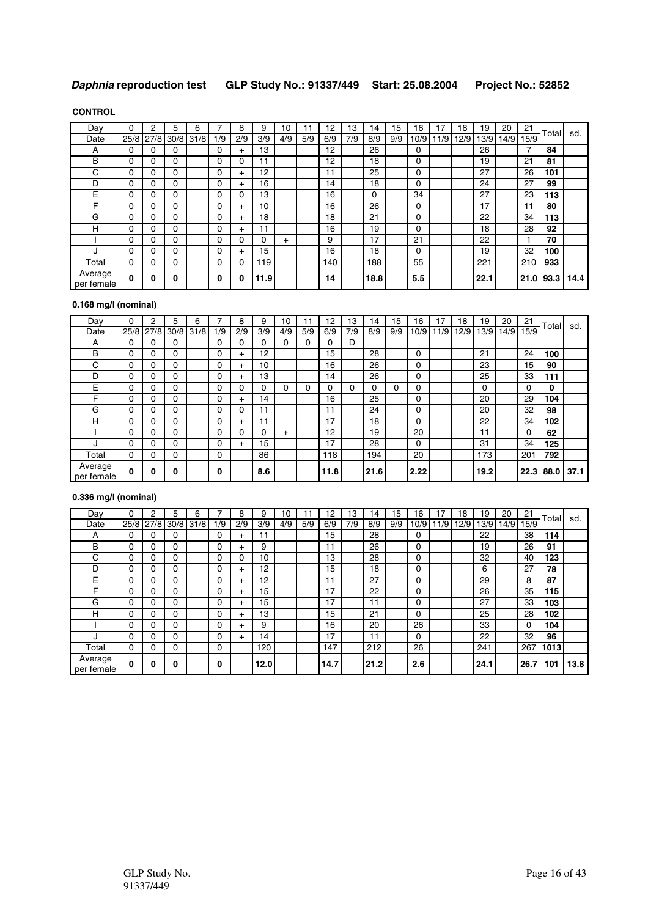## **Daphnia reproduction test GLP Study No.: 91337/449 Start: 25.08.2004 Project No.: 52852**

### **CONTROL**

| Day                   | 0        | $\overline{2}$ | 5              | 6 |          | 8        | 9    | 10     | 11  | 12  | 13  | 14       | 15  | 16   | 17   | 18   | 19   | 20   | 21   | Total | sd.  |
|-----------------------|----------|----------------|----------------|---|----------|----------|------|--------|-----|-----|-----|----------|-----|------|------|------|------|------|------|-------|------|
| Date                  | 25/8     |                | 27/8 30/8 31/8 |   | 1/9      | 2/9      | 3/9  | 4/9    | 5/9 | 6/9 | 7/9 | 8/9      | 9/9 | 10/9 | 11/9 | 12/9 | 13/9 | 14/9 | 15/9 |       |      |
| A                     | 0        | 0              | 0              |   | 0        | $+$      | 13   |        |     | 12  |     | 26       |     | 0    |      |      | 26   |      | 7    | 84    |      |
| B                     | $\Omega$ | 0              | 0              |   | 0        | 0        | 11   |        |     | 12  |     | 18       |     | 0    |      |      | 19   |      | 21   | 81    |      |
| С                     | 0        | 0              | 0              |   | 0        | $^{+}$   | 12   |        |     | 11  |     | 25       |     | 0    |      |      | 27   |      | 26   | 101   |      |
| D                     | 0        | 0              | 0              |   | 0        | $^{+}$   | 16   |        |     | 14  |     | 18       |     | 0    |      |      | 24   |      | 27   | 99    |      |
| E                     | $\Omega$ | 0              | 0              |   | 0        | 0        | 13   |        |     | 16  |     | $\Omega$ |     | 34   |      |      | 27   |      | 23   | 113   |      |
| F                     | $\Omega$ | 0              | 0              |   | 0        | $^{+}$   | 10   |        |     | 16  |     | 26       |     | 0    |      |      | 17   |      | 11   | 80    |      |
| G                     | 0        | 0              | 0              |   | 0        | $^{+}$   | 18   |        |     | 18  |     | 21       |     | 0    |      |      | 22   |      | 34   | 113   |      |
| н                     | 0        | 0              | 0              |   | $\Omega$ | $+$      | 11   |        |     | 16  |     | 19       |     | 0    |      |      | 18   |      | 28   | 92    |      |
|                       | 0        | 0              | 0              |   | 0        | 0        | 0    | $^{+}$ |     | 9   |     | 17       |     | 21   |      |      | 22   |      |      | 70    |      |
|                       | 0        | 0              | 0              |   | 0        | $\pm$    | 15   |        |     | 16  |     | 18       |     | 0    |      |      | 19   |      | 32   | 100   |      |
| Total                 | 0        | 0              | 0              |   | 0        | 0        | 119  |        |     | 140 |     | 188      |     | 55   |      |      | 221  |      | 210  | 933   |      |
| Average<br>per female | $\Omega$ | $\bf{0}$       | 0              |   | $\bf{0}$ | $\Omega$ | 11.9 |        |     | 14  |     | 18.8     |     | 5.5  |      |      | 22.1 |      | 21.0 | 93.3  | 14.4 |

## **0.168 mg/l (nominal)**

| Day                   | $\Omega$     | 2 | 5              | 6 |     | 8        | 9   | 10     | 11  | 12   | 13  | 14   | 15  | 16   | 7    | 18   | 19       | 20   | 21   |          |      |
|-----------------------|--------------|---|----------------|---|-----|----------|-----|--------|-----|------|-----|------|-----|------|------|------|----------|------|------|----------|------|
| Date                  | 25/8         |   | 27/8 30/8 31/8 |   | 1/9 | 2/9      | 3/9 | 4/9    | 5/9 | 6/9  | 7/9 | 8/9  | 9/9 | 10/9 | 11/9 | 12/9 | 13/9     | 14/9 | 15/9 | Total    | sd.  |
| А                     | 0            | 0 | 0              |   | 0   | $\Omega$ | 0   | 0      | 0   | 0    | D   |      |     |      |      |      |          |      |      |          |      |
| B                     | 0            | 0 | 0              |   | 0   | $^{+}$   | 12  |        |     | 15   |     | 28   |     | 0    |      |      | 21       |      | 24   | 100      |      |
| C                     | $\Omega$     | 0 | 0              |   | 0   | $+$      | 10  |        |     | 16   |     | 26   |     | 0    |      |      | 23       |      | 15   | 90       |      |
| D                     | $\Omega$     | 0 | 0              |   | 0   | $^{+}$   | 13  |        |     | 14   |     | 26   |     | 0    |      |      | 25       |      | 33   | 111      |      |
| E                     | 0            | 0 | 0              |   | 0   | $\Omega$ | 0   | 0      | 0   | 0    | 0   | 0    | 0   | 0    |      |      | $\Omega$ |      | 0    | $\bf{0}$ |      |
| F                     | 0            | 0 | 0              |   | 0   | $^{+}$   | 14  |        |     | 16   |     | 25   |     | 0    |      |      | 20       |      | 29   | 104      |      |
| G                     | 0            | 0 | 0              |   | 0   | $\Omega$ | 11  |        |     | 11   |     | 24   |     | 0    |      |      | 20       |      | 32   | 98       |      |
| н                     | 0            | 0 | 0              |   | 0   | $+$      | 11  |        |     | 17   |     | 18   |     | 0    |      |      | 22       |      | 34   | 102      |      |
|                       | 0            | 0 | 0              |   | 0   | 0        | 0   | $^{+}$ |     | 12   |     | 19   |     | 20   |      |      | 11       |      | 0    | 62       |      |
| п.                    | 0            | 0 | 0              |   | 0   | $+$      | 15  |        |     | 17   |     | 28   |     | 0    |      |      | 31       |      | 34   | 125      |      |
| Total                 | 0            | 0 | 0              |   | 0   |          | 86  |        |     | 118  |     | 194  |     | 20   |      |      | 173      |      | 201  | 792      |      |
| Average<br>per female | $\mathbf{0}$ | 0 | 0              |   | 0   |          | 8.6 |        |     | 11.8 |     | 21.6 |     | 2.22 |      |      | 19.2     |      | 22.3 | 88.0     | 37.1 |

## **0.336 mg/l (nominal)**

| Day                   | 0            | 2    | 5 | 6         |          | 8         | 9    | 10  | 11  | 12   | 13  | 14   | 15  | 16   | 17   | 18   | 19   | 20   | 21           |       |      |
|-----------------------|--------------|------|---|-----------|----------|-----------|------|-----|-----|------|-----|------|-----|------|------|------|------|------|--------------|-------|------|
| Date                  | 25/8         | 27/8 |   | 30/8 31/8 | 1/9      | 2/9       | 3/9  | 4/9 | 5/9 | 6/9  | 7/9 | 8/9  | 9/9 | 10/9 | 11/9 | 12/9 | 13/9 | 14/9 | 15/9         | Total | sd.  |
| A                     | 0            | 0    | 0 |           | 0        | $\ddot{}$ | 11   |     |     | 15   |     | 28   |     | 0    |      |      | 22   |      | 38           | 114   |      |
| B                     | 0            | 0    | 0 |           | 0        | $\ddot{}$ | 9    |     |     | 11   |     | 26   |     | 0    |      |      | 19   |      | 26           | 91    |      |
| С                     | 0            | 0    | 0 |           | $\Omega$ | 0         | 10   |     |     | 13   |     | 28   |     | 0    |      |      | 32   |      | 40           | 123   |      |
| D                     | $\Omega$     | 0    | 0 |           | 0        | $\ddot{}$ | 12   |     |     | 15   |     | 18   |     | 0    |      |      | 6    |      | 27           | 78    |      |
| E                     | 0            | 0    | 0 |           | 0        | $\ddot{}$ | 12   |     |     | 11   |     | 27   |     | 0    |      |      | 29   |      | 8            | 87    |      |
| F                     | $\Omega$     | 0    | 0 |           | 0        | $+$       | 15   |     |     | 17   |     | 22   |     | 0    |      |      | 26   |      | 35           | 115   |      |
| G                     | 0            | 0    | 0 |           | 0        | $+$       | 15   |     |     | 17   |     | 11   |     | 0    |      |      | 27   |      | 33           | 103   |      |
| н                     | $\Omega$     | 0    | 0 |           | 0        | $\pm$     | 13   |     |     | 15   |     | 21   |     | 0    |      |      | 25   |      | 28           | 102   |      |
|                       | $\Omega$     | 0    | 0 |           | 0        | $\pm$     | 9    |     |     | 16   |     | 20   |     | 26   |      |      | 33   |      | $\mathbf{0}$ | 104   |      |
| J                     | 0            | 0    | 0 |           | 0        | $+$       | 14   |     |     | 17   |     | 11   |     | 0    |      |      | 22   |      | 32           | 96    |      |
| Total                 | 0            | 0    | 0 |           | 0        |           | 120  |     |     | 147  |     | 212  |     | 26   |      |      | 241  |      | 267          | 1013  |      |
| Average<br>per female | $\mathbf{0}$ | 0    | 0 |           | 0        |           | 12.0 |     |     | 14.7 |     | 21.2 |     | 2.6  |      |      | 24.1 |      | 26.7         | 101   | 13.8 |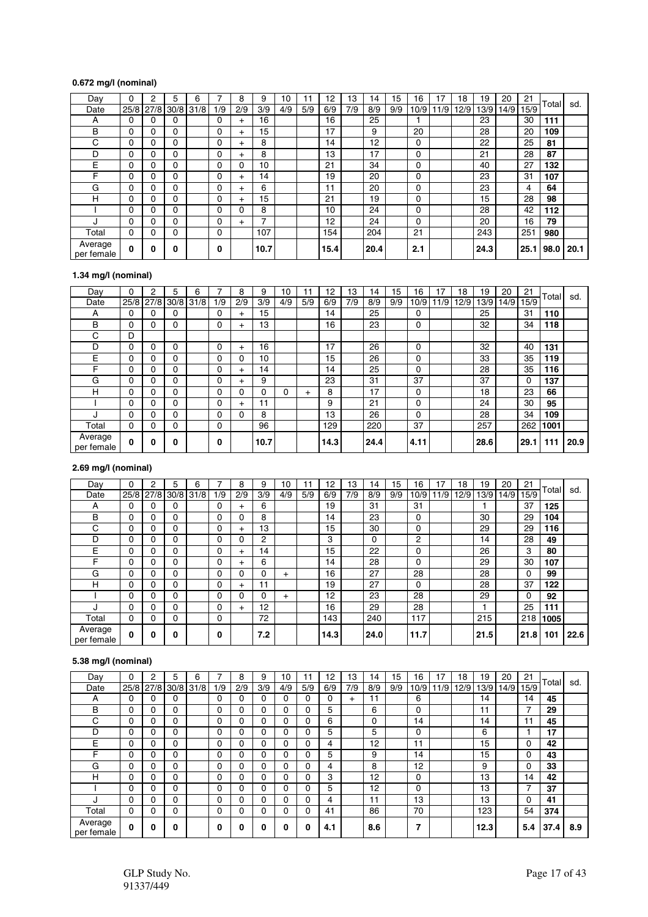## **0.672 mg/l (nominal)**

| Day                   | 0        | $\overline{2}$ | 5              | 6 |     | 8         | 9    | 10  | 11  | 12   | 13  | 14   | 15  | 16   | 17   | 18   | 19   | 20   | 21   | Total | sd.  |
|-----------------------|----------|----------------|----------------|---|-----|-----------|------|-----|-----|------|-----|------|-----|------|------|------|------|------|------|-------|------|
| Date                  | 25/8     |                | 27/8 30/8 31/8 |   | 1/9 | 2/9       | 3/9  | 4/9 | 5/9 | 6/9  | 7/9 | 8/9  | 9/9 | 10/9 | 11/9 | 12/9 | 13/9 | 14/9 | 15/9 |       |      |
| A                     | 0        | 0              | 0              |   | 0   | $^{+}$    | 16   |     |     | 16   |     | 25   |     |      |      |      | 23   |      | 30   | 111   |      |
| B                     | $\Omega$ | 0              | 0              |   | 0   | $+$       | 15   |     |     | 17   |     | 9    |     | 20   |      |      | 28   |      | 20   | 109   |      |
| С                     | 0        | 0              | 0              |   | 0   | $\pm$     | 8    |     |     | 14   |     | 12   |     | 0    |      |      | 22   |      | 25   | 81    |      |
| D                     | 0        | 0              | 0              |   | 0   | $\pm$     | 8    |     |     | 13   |     | 17   |     | 0    |      |      | 21   |      | 28   | 87    |      |
| Е                     | $\Omega$ | 0              | 0              |   | 0   | 0         | 10   |     |     | 21   |     | 34   |     | 0    |      |      | 40   |      | 27   | 132   |      |
| F                     | 0        | 0              | 0              |   | 0   | $\pm$     | 14   |     |     | 19   |     | 20   |     | 0    |      |      | 23   |      | 31   | 107   |      |
| G                     | $\Omega$ | 0              | 0              |   | 0   | $\pm$     | 6    |     |     | 11   |     | 20   |     | 0    |      |      | 23   |      | 4    | 64    |      |
| н                     | 0        | 0              | 0              |   | 0   | $\pm$     | 15   |     |     | 21   |     | 19   |     | 0    |      |      | 15   |      | 28   | 98    |      |
|                       | 0        | 0              | 0              |   | 0   | 0         | 8    |     |     | 10   |     | 24   |     | 0    |      |      | 28   |      | 42   | 112   |      |
| J                     | 0        | 0              | 0              |   | 0   | $\ddot{}$ | 7    |     |     | 12   |     | 24   |     | 0    |      |      | 20   |      | 16   | 79    |      |
| Total                 | 0        | 0              | 0              |   | 0   |           | 107  |     |     | 154  |     | 204  |     | 21   |      |      | 243  |      | 251  | 980   |      |
| Average<br>per female | $\Omega$ | 0              | 0              |   | 0   |           | 10.7 |     |     | 15.4 |     | 20.4 |     | 2.1  |      |      | 24.3 |      | 25.1 | 98.0  | 20.1 |

## **1.34 mg/l (nominal)**

| Day                   | 0            | 2    | 5         | 6 | 7        | 8         | 9    | 10  | 11     | 12   | 13  | 14   | 15  | 16   | 17  | 18   | 19   | 20   | 21   |       |      |
|-----------------------|--------------|------|-----------|---|----------|-----------|------|-----|--------|------|-----|------|-----|------|-----|------|------|------|------|-------|------|
| Date                  | 25/8         | 27/8 | 30/8 31/8 |   | 1/9      | 2/9       | 3/9  | 4/9 | 5/9    | 6/9  | 7/9 | 8/9  | 9/9 | 10/9 | 1/9 | 12/9 | 13/9 | 14/9 | 15/9 | Total | sd.  |
| A                     | $\Omega$     | 0    | 0         |   | 0        | $+$       | 15   |     |        | 14   |     | 25   |     | 0    |     |      | 25   |      | 31   | 110   |      |
| B                     | $\Omega$     | 0    | 0         |   | $\Omega$ | $+$       | 13   |     |        | 16   |     | 23   |     | 0    |     |      | 32   |      | 34   | 118   |      |
| С                     | D            |      |           |   |          |           |      |     |        |      |     |      |     |      |     |      |      |      |      |       |      |
| D                     | 0            | 0    | 0         |   | $\Omega$ | $\ddot{}$ | 16   |     |        | 17   |     | 26   |     | 0    |     |      | 32   |      | 40   | 131   |      |
| Е                     | 0            | 0    | 0         |   | 0        | 0         | 10   |     |        | 15   |     | 26   |     | 0    |     |      | 33   |      | 35   | 119   |      |
| F                     | 0            | 0    | 0         |   | 0        | $+$       | 14   |     |        | 14   |     | 25   |     | 0    |     |      | 28   |      | 35   | 116   |      |
| G                     | 0            | 0    | 0         |   | 0        | $\ddot{}$ | 9    |     |        | 23   |     | 31   |     | 37   |     |      | 37   |      | 0    | 137   |      |
| н                     | 0            | 0    | 0         |   | 0        | 0         | 0    | 0   | $^{+}$ | 8    |     | 17   |     | 0    |     |      | 18   |      | 23   | 66    |      |
|                       | 0            | 0    | 0         |   | 0        | $\ddot{}$ | 11   |     |        | 9    |     | 21   |     | 0    |     |      | 24   |      | 30   | 95    |      |
| J                     | 0            | 0    | 0         |   | 0        | 0         | 8    |     |        | 13   |     | 26   |     | 0    |     |      | 28   |      | 34   | 109   |      |
| Total                 | 0            | 0    | 0         |   | 0        |           | 96   |     |        | 129  |     | 220  |     | 37   |     |      | 257  |      | 262  | 1001  |      |
| Average<br>per female | $\mathbf{0}$ | 0    | 0         |   | 0        |           | 10.7 |     |        | 14.3 |     | 24.4 |     | 4.11 |     |      | 28.6 |      | 29.1 | 111   | 20.9 |

## **2.69 mg/l (nominal)**

| Dav                   | $\Omega$     | $\overline{2}$ | 5           | 6 |          | 8         | 9   | 10     | 11  | 12   | 13  | 14           | 15  | 16   | 17  | 18   | 19   | 20   | 21   |       |      |
|-----------------------|--------------|----------------|-------------|---|----------|-----------|-----|--------|-----|------|-----|--------------|-----|------|-----|------|------|------|------|-------|------|
| Date                  | 25/8         | 27/8           | $30/8$ 31/8 |   | 1/9      | 2/9       | 3/9 | 4/9    | 5/9 | 6/9  | 7/9 | 8/9          | 9/9 | 10/9 | 1/9 | 12/9 | 13/9 | 14/9 | 15/9 | Total | sd.  |
| А                     | 0            | 0              | 0           |   | 0        | $\ddot{}$ | 6   |        |     | 19   |     | 31           |     | 31   |     |      |      |      | 37   | 125   |      |
| B                     | 0            | 0              | 0           |   | 0        | 0         | 8   |        |     | 14   |     | 23           |     | 0    |     |      | 30   |      | 29   | 104   |      |
| C                     | 0            | 0              | 0           |   | 0        | $\ddot{}$ | 13  |        |     | 15   |     | 30           |     | 0    |     |      | 29   |      | 29   | 116   |      |
| D                     | 0            | 0              | 0           |   | 0        | 0         | 2   |        |     | 3    |     | $\mathbf{0}$ |     | 2    |     |      | 14   |      | 28   | 49    |      |
| Е                     | 0            | 0              | 0           |   | 0        | $+$       | 14  |        |     | 15   |     | 22           |     | 0    |     |      | 26   |      | 3    | 80    |      |
| F                     | $\Omega$     | 0              | 0           |   | 0        | $\ddot{}$ | 6   |        |     | 14   |     | 28           |     | 0    |     |      | 29   |      | 30   | 107   |      |
| G                     | 0            | 0              | 0           |   | 0        | 0         | 0   | $^{+}$ |     | 16   |     | 27           |     | 28   |     |      | 28   |      | 0    | 99    |      |
| H                     | $\Omega$     | 0              | 0           |   | 0        | $\ddot{}$ | 11  |        |     | 19   |     | 27           |     | 0    |     |      | 28   |      | 37   | 122   |      |
|                       | $\Omega$     | 0              | 0           |   | 0        | 0         | 0   | $^{+}$ |     | 12   |     | 23           |     | 28   |     |      | 29   |      | 0    | 92    |      |
| ٠.                    | $\Omega$     | 0              | 0           |   | $\Omega$ | $\ddot{}$ | 12  |        |     | 16   |     | 29           |     | 28   |     |      |      |      | 25   | 111   |      |
| Total                 | 0            | 0              | 0           |   | 0        |           | 72  |        |     | 143  |     | 240          |     | 117  |     |      | 215  |      | 218  | 1005  |      |
| Average<br>per female | $\mathbf{0}$ | 0              | 0           |   | 0        |           | 7.2 |        |     | 14.3 |     | 24.0         |     | 11.7 |     |      | 21.5 |      | 21.8 | 101   | 22.6 |

## **5.38 mg/l (nominal)**

| Dav                   | 0            | 2    | 5         | 6 | 7            | 8   | 9   | 10  | 11       | 12  | 13        | 14  | 15  | 16   | 17  | 18   | 19   | 20   | 21   | Total |     |
|-----------------------|--------------|------|-----------|---|--------------|-----|-----|-----|----------|-----|-----------|-----|-----|------|-----|------|------|------|------|-------|-----|
| Date                  | 25/8         | 27/8 | 30/8 31/8 |   | 1/9          | 2/9 | 3/9 | 4/9 | 5/9      | 6/9 | 7/9       | 8/9 | 9/9 | 10/9 | 1/9 | 12/9 | 13/9 | 14/9 | 15/9 |       | sd. |
| А                     | $\Omega$     | 0    | 0         |   | 0            | 0   | 0   | 0   | $\Omega$ | 0   | $\ddot{}$ | 11  |     | 6    |     |      | 14   |      | 14   | 45    |     |
| B                     | 0            | 0    | 0         |   | 0            | 0   | 0   | 0   | $\Omega$ | 5   |           | 6   |     | 0    |     |      | 11   |      | 7    | 29    |     |
| С                     | 0            | 0    | 0         |   | 0            | 0   | 0   | 0   | $\Omega$ | 6   |           | 0   |     | 14   |     |      | 14   |      | 11   | 45    |     |
| D                     | 0            | 0    | 0         |   | 0            | 0   | 0   | 0   | $\Omega$ | 5   |           | 5   |     | 0    |     |      | 6    |      |      | 17    |     |
| E                     | 0            | 0    | 0         |   | $\Omega$     | 0   | 0   | 0   | 0        | 4   |           | 12  |     | 11   |     |      | 15   |      | 0    | 42    |     |
| F                     | 0            | 0    | 0         |   | 0            | 0   | 0   | 0   | $\Omega$ | 5   |           | 9   |     | 14   |     |      | 15   |      | 0    | 43    |     |
| G                     | 0            | 0    | 0         |   | $\Omega$     | 0   | 0   | 0   | 0        | 4   |           | 8   |     | 12   |     |      | 9    |      | 0    | 33    |     |
| н                     | $\Omega$     | 0    | 0         |   | 0            | 0   | 0   | 0   | $\Omega$ | 3   |           | 12  |     | 0    |     |      | 13   |      | 14   | 42    |     |
|                       | 0            | 0    | 0         |   | 0            | 0   | 0   | 0   | 0        | 5   |           | 12  |     | 0    |     |      | 13   |      | 7    | 37    |     |
| ٠,                    | $\Omega$     | 0    | 0         |   | $\Omega$     | 0   | 0   | 0   | $\Omega$ | 4   |           | 11  |     | 13   |     |      | 13   |      | 0    | 41    |     |
| Total                 | 0            | 0    | 0         |   | 0            | 0   | 0   | 0   | $\Omega$ | 41  |           | 86  |     | 70   |     |      | 123  |      | 54   | 374   |     |
| Average<br>per female | $\mathbf{0}$ | 0    | 0         |   | $\mathbf{0}$ | 0   | U   | 0   | $\bf{0}$ | 4.1 |           | 8.6 |     | 7    |     |      | 12.3 |      | 5.4  | 37.4  | 8.9 |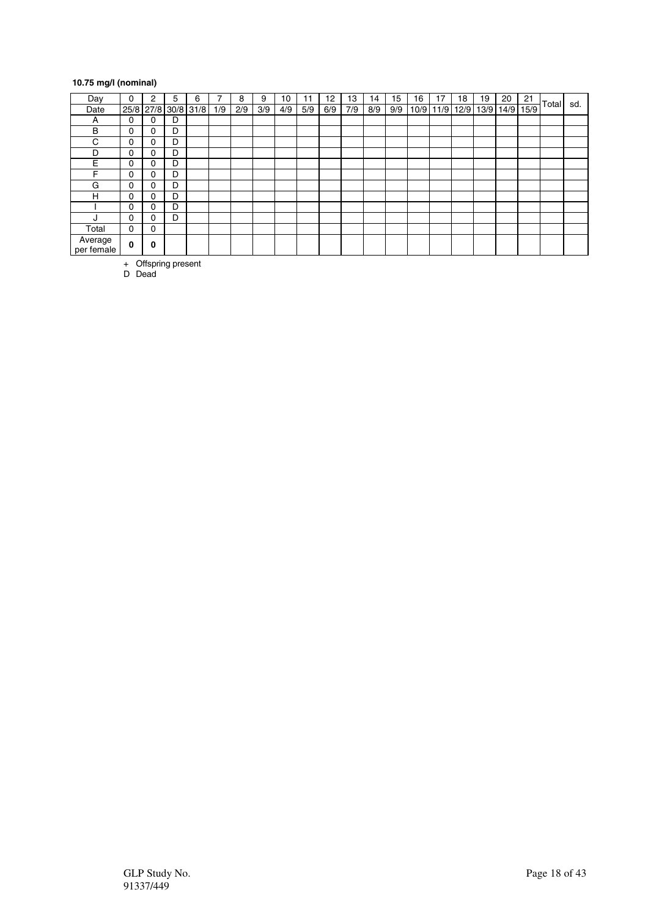## **10.75 mg/l (nominal)**

| Day                   | 0        | 2 | 5 | 6                   | ⇁   | 8   | 9   | 10  | 11  | 12  | 13  | 14  | 15  | 16 | 17          | 18   | 19   | 20   | 21   |       |     |
|-----------------------|----------|---|---|---------------------|-----|-----|-----|-----|-----|-----|-----|-----|-----|----|-------------|------|------|------|------|-------|-----|
| Date                  |          |   |   | 25/8 27/8 30/8 31/8 | 1/9 | 2/9 | 3/9 | 4/9 | 5/9 | 6/9 | 7/9 | 8/9 | 9/9 |    | $10/9$ 11/9 | 12/9 | 13/9 | 14/9 | 15/9 | Total | sd. |
| A                     | 0        | 0 | D |                     |     |     |     |     |     |     |     |     |     |    |             |      |      |      |      |       |     |
| B                     | 0        | 0 | D |                     |     |     |     |     |     |     |     |     |     |    |             |      |      |      |      |       |     |
| C                     | 0        | 0 | D |                     |     |     |     |     |     |     |     |     |     |    |             |      |      |      |      |       |     |
| D                     | 0        | 0 | D |                     |     |     |     |     |     |     |     |     |     |    |             |      |      |      |      |       |     |
| E                     | 0        | 0 | D |                     |     |     |     |     |     |     |     |     |     |    |             |      |      |      |      |       |     |
| F                     | 0        | 0 | D |                     |     |     |     |     |     |     |     |     |     |    |             |      |      |      |      |       |     |
| G                     | 0        | 0 | D |                     |     |     |     |     |     |     |     |     |     |    |             |      |      |      |      |       |     |
| н                     | 0        | 0 | D |                     |     |     |     |     |     |     |     |     |     |    |             |      |      |      |      |       |     |
|                       | 0        | 0 | D |                     |     |     |     |     |     |     |     |     |     |    |             |      |      |      |      |       |     |
| ٠.                    | 0        | 0 | D |                     |     |     |     |     |     |     |     |     |     |    |             |      |      |      |      |       |     |
| Total                 | 0        | 0 |   |                     |     |     |     |     |     |     |     |     |     |    |             |      |      |      |      |       |     |
| Average<br>per female | $\bf{0}$ | 0 |   |                     |     |     |     |     |     |     |     |     |     |    |             |      |      |      |      |       |     |

+ Offspring present

D Dead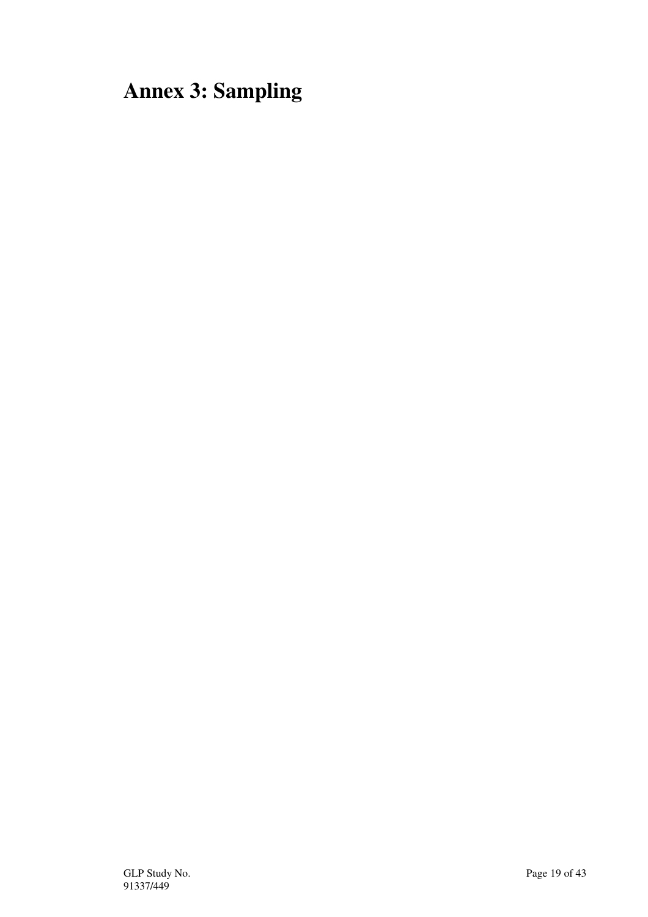# **Annex 3: Sampling**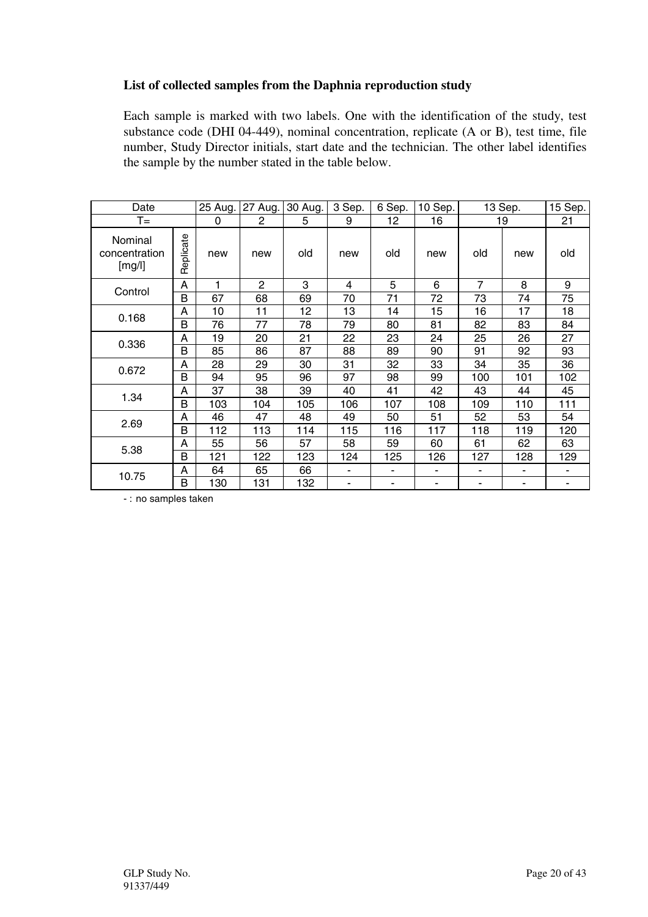## **List of collected samples from the Daphnia reproduction study**

Each sample is marked with two labels. One with the identification of the study, test substance code (DHI 04-449), nominal concentration, replicate (A or B), test time, file number, Study Director initials, start date and the technician. The other label identifies the sample by the number stated in the table below.

| Date                               |           | 25 Aug. | 27 Aug.        | 30 Aug. | 3 Sep.                   | 6 Sep. | 10 Sep. |                | 13 Sep. | 15 Sep. |
|------------------------------------|-----------|---------|----------------|---------|--------------------------|--------|---------|----------------|---------|---------|
| $T =$                              |           | 0       | $\overline{c}$ | 5       | 9                        | 12     | 16      |                | 19      | 21      |
| Nominal<br>concentration<br>[mg/l] | Replicate | new     | new            | old     | new                      | old    | new     | old            | new     | old     |
| Control                            | A         | 1       | $\overline{2}$ | 3       | 4                        | 5      | 6       | 7              | 8       | 9       |
|                                    | B         | 67      | 68             | 69      | 70                       | 71     | 72      | 73             | 74      | 75      |
| 0.168                              | А         | 10      | 11             | 12      | 13                       | 14     | 15      | 16             | 17      | 18      |
|                                    | B         | 76      | 77             | 78      | 79                       | 80     | 81      | 82             | 83      | 84      |
|                                    | А         | 19      | 20             | 21      | 22                       | 23     | 24      | 25             | 26      | 27      |
| 0.336                              | B         | 85      | 86             | 87      | 88                       | 89     | 90      | 91             | 92      | 93      |
|                                    | A         | 28      | 29             | 30      | 31                       | 32     | 33      | 34             | 35      | 36      |
| 0.672                              | B         | 94      | 95             | 96      | 97                       | 98     | 99      | 100            | 101     | 102     |
| 1.34                               | A         | 37      | 38             | 39      | 40                       | 41     | 42      | 43             | 44      | 45      |
|                                    | B         | 103     | 104            | 105     | 106                      | 107    | 108     | 109            | 110     | 111     |
| 2.69                               | A         | 46      | 47             | 48      | 49                       | 50     | 51      | 52             | 53      | 54      |
|                                    | B         | 112     | 113            | 114     | 115                      | 116    | 117     | 118            | 119     | 120     |
|                                    | А         | 55      | 56             | 57      | 58                       | 59     | 60      | 61             | 62      | 63      |
| 5.38                               | Β         | 121     | 122            | 123     | 124                      | 125    | 126     | 127            | 128     | 129     |
|                                    | A         | 64      | 65             | 66      | $\overline{\phantom{a}}$ | ٠      | -       | $\blacksquare$ | ٠       | ٠       |
| 10.75                              | B         | 130     | 131            | 132     |                          |        |         | ۰              |         | ۰       |

- : no samples taken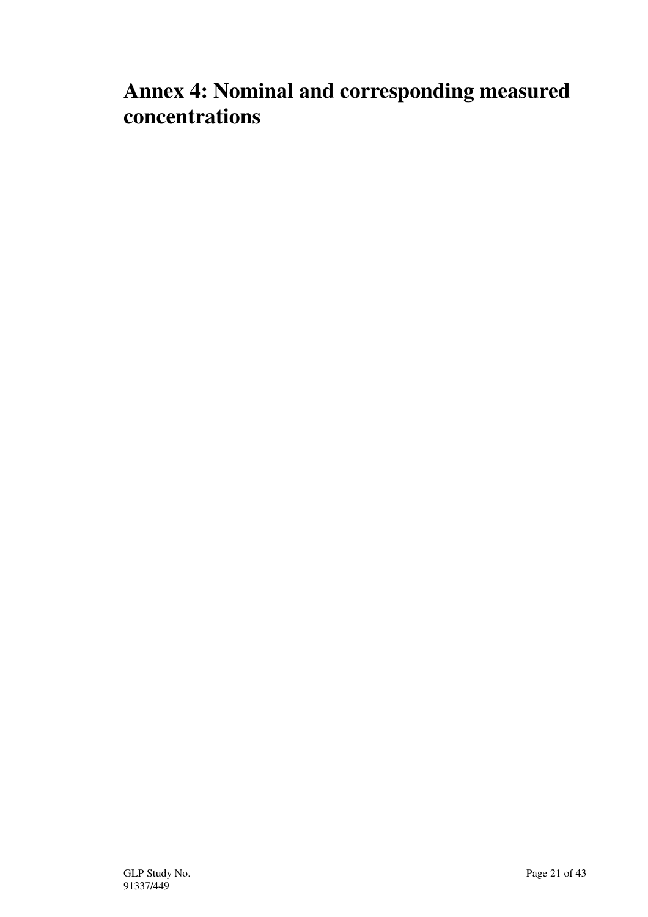# **Annex 4: Nominal and corresponding measured concentrations**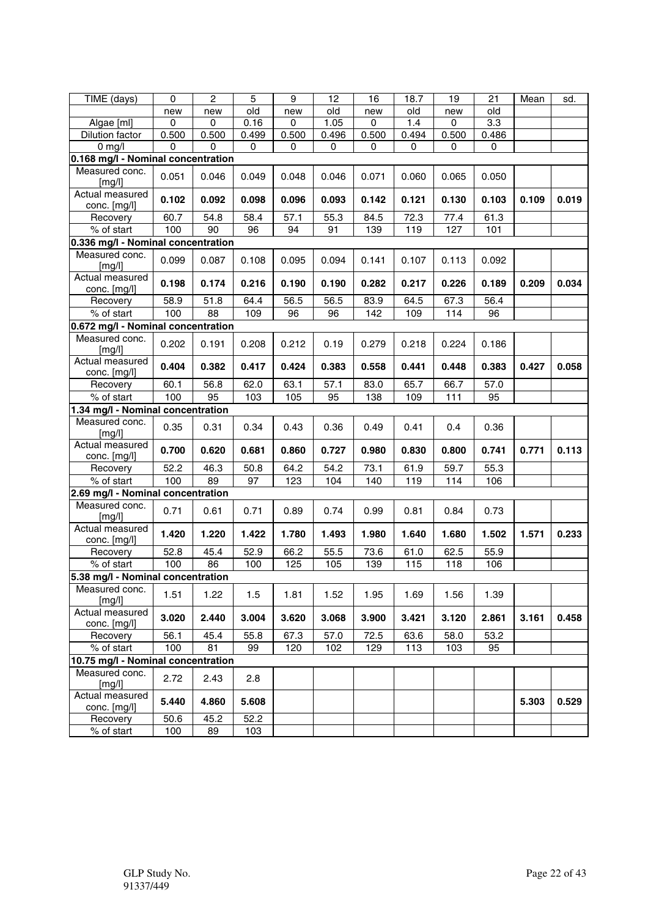| TIME (days)                        | $\mathbf 0$ | $\overline{2}$  | $\overline{5}$ | 9     | 12    | 16          | 18.7  | 19        | 21    | Mean  | sd.   |
|------------------------------------|-------------|-----------------|----------------|-------|-------|-------------|-------|-----------|-------|-------|-------|
|                                    | new         | new             | old            | new   | old   | new         | old   | new       | old   |       |       |
| Algae [ml]                         | 0           | 0               | 0.16           | 0     | 1.05  | $\mathbf 0$ | 1.4   | $\pmb{0}$ | 3.3   |       |       |
| Dilution factor                    | 0.500       | 0.500           | 0.499          | 0.500 | 0.496 | 0.500       | 0.494 | 0.500     | 0.486 |       |       |
| $0$ mg/l                           | 0           | $\Omega$        | $\mathbf 0$    | 0     | 0     | 0           | 0     | 0         | 0     |       |       |
| 0.168 mg/l - Nominal concentration |             |                 |                |       |       |             |       |           |       |       |       |
| Measured conc.<br>[mg/l]           | 0.051       | 0.046           | 0.049          | 0.048 | 0.046 | 0.071       | 0.060 | 0.065     | 0.050 |       |       |
| Actual measured<br>conc. [mg/l]    | 0.102       | 0.092           | 0.098          | 0.096 | 0.093 | 0.142       | 0.121 | 0.130     | 0.103 | 0.109 | 0.019 |
| Recovery                           | 60.7        | 54.8            | 58.4           | 57.1  | 55.3  | 84.5        | 72.3  | 77.4      | 61.3  |       |       |
| % of start                         | 100         | $\overline{90}$ | 96             | 94    | 91    | 139         | 119   | 127       | 101   |       |       |
| 0.336 mg/l - Nominal concentration |             |                 |                |       |       |             |       |           |       |       |       |
|                                    |             |                 |                |       |       |             |       |           |       |       |       |
| Measured conc.<br>[mg/l]           | 0.099       | 0.087           | 0.108          | 0.095 | 0.094 | 0.141       | 0.107 | 0.113     | 0.092 |       |       |
| Actual measured<br>conc. [mg/l]    | 0.198       | 0.174           | 0.216          | 0.190 | 0.190 | 0.282       | 0.217 | 0.226     | 0.189 | 0.209 | 0.034 |
| Recovery                           | 58.9        | 51.8            | 64.4           | 56.5  | 56.5  | 83.9        | 64.5  | 67.3      | 56.4  |       |       |
| % of start                         | 100         | 88              | 109            | 96    | 96    | 142         | 109   | 114       | 96    |       |       |
| 0.672 mg/l - Nominal concentration |             |                 |                |       |       |             |       |           |       |       |       |
| Measured conc.<br>[mg/l]           | 0.202       | 0.191           | 0.208          | 0.212 | 0.19  | 0.279       | 0.218 | 0.224     | 0.186 |       |       |
| Actual measured                    | 0.404       | 0.382           | 0.417          | 0.424 | 0.383 | 0.558       | 0.441 | 0.448     | 0.383 | 0.427 | 0.058 |
| conc. [mg/l]                       |             |                 |                |       |       |             |       |           |       |       |       |
| Recovery                           | 60.1        | 56.8            | 62.0           | 63.1  | 57.1  | 83.0        | 65.7  | 66.7      | 57.0  |       |       |
| % of start                         | 100         | $\overline{95}$ | 103            | 105   | 95    | 138         | 109   | 111       | 95    |       |       |
| 1.34 mg/l - Nominal concentration  |             |                 |                |       |       |             |       |           |       |       |       |
| Measured conc.<br>[mg/l]           | 0.35        | 0.31            | 0.34           | 0.43  | 0.36  | 0.49        | 0.41  | 0.4       | 0.36  |       |       |
| Actual measured<br>conc. [mg/l]    | 0.700       | 0.620           | 0.681          | 0.860 | 0.727 | 0.980       | 0.830 | 0.800     | 0.741 | 0.771 | 0.113 |
| Recovery                           | 52.2        | 46.3            | 50.8           | 64.2  | 54.2  | 73.1        | 61.9  | 59.7      | 55.3  |       |       |
| % of start                         | 100         | 89              | 97             | 123   | 104   | 140         | 119   | 114       | 106   |       |       |
| 2.69 mg/l - Nominal concentration  |             |                 |                |       |       |             |       |           |       |       |       |
| Measured conc.<br>[mg/l]           | 0.71        | 0.61            | 0.71           | 0.89  | 0.74  | 0.99        | 0.81  | 0.84      | 0.73  |       |       |
| Actual measured<br>conc. [mg/l]    | 1.420       | 1.220           | 1.422          | 1.780 | 1.493 | 1.980       | 1.640 | 1.680     | 1.502 | 1.571 | 0.233 |
| Recovery                           | 52.8        | 45.4            | 52.9           | 66.2  | 55.5  | 73.6        | 61.0  | 62.5      | 55.9  |       |       |
| % of start                         | 100         | 86              | 100            | 125   | 105   | 139         | 115   | 118       | 106   |       |       |
| 5.38 mg/l - Nominal concentration  |             |                 |                |       |       |             |       |           |       |       |       |
| Measured conc.                     | 1.51        | 1.22            | 1.5            | 1.81  | 1.52  | 1.95        | 1.69  | 1.56      | 1.39  |       |       |
| [mg/l]<br>Actual measured          | 3.020       | 2.440           | 3.004          | 3.620 | 3.068 | 3.900       | 3.421 | 3.120     | 2.861 | 3.161 | 0.458 |
| conc. [mg/l]                       |             |                 |                |       |       |             |       |           |       |       |       |
| Recovery                           | 56.1        | 45.4            | 55.8           | 67.3  | 57.0  | 72.5        | 63.6  | 58.0      | 53.2  |       |       |
| % of start                         | 100         | 81              | 99             | 120   | 102   | 129         | 113   | 103       | 95    |       |       |
| 10.75 mg/l - Nominal concentration |             |                 |                |       |       |             |       |           |       |       |       |
| Measured conc.<br>[mg/l]           | 2.72        | 2.43            | 2.8            |       |       |             |       |           |       |       |       |
| Actual measured<br>conc. [mg/l]    | 5.440       | 4.860           | 5.608          |       |       |             |       |           |       | 5.303 | 0.529 |
| Recovery                           | 50.6        | 45.2            | 52.2           |       |       |             |       |           |       |       |       |
| % of start                         | 100         | 89              | 103            |       |       |             |       |           |       |       |       |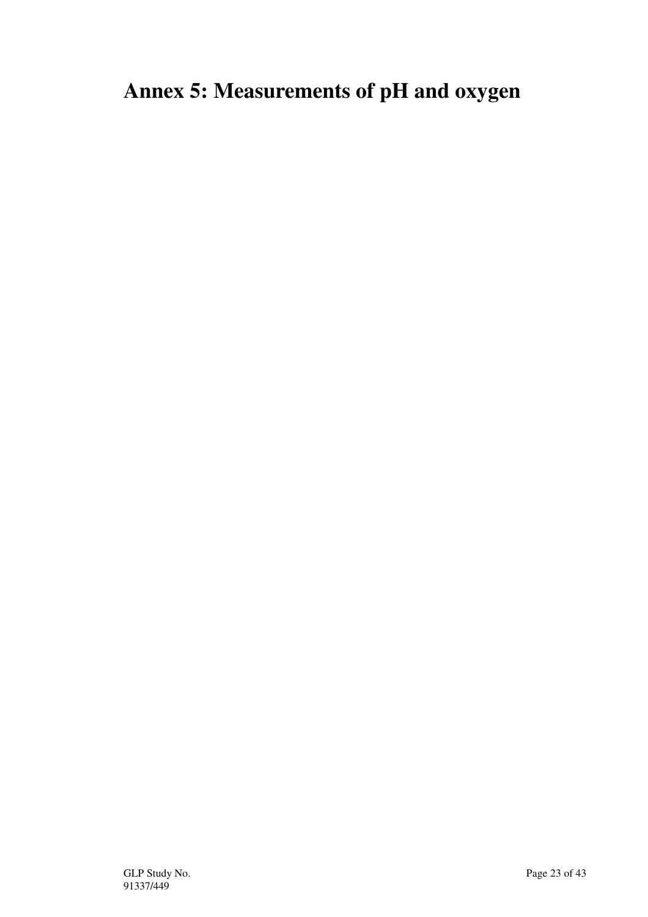# **Annex 5: Measurements of pH and oxygen**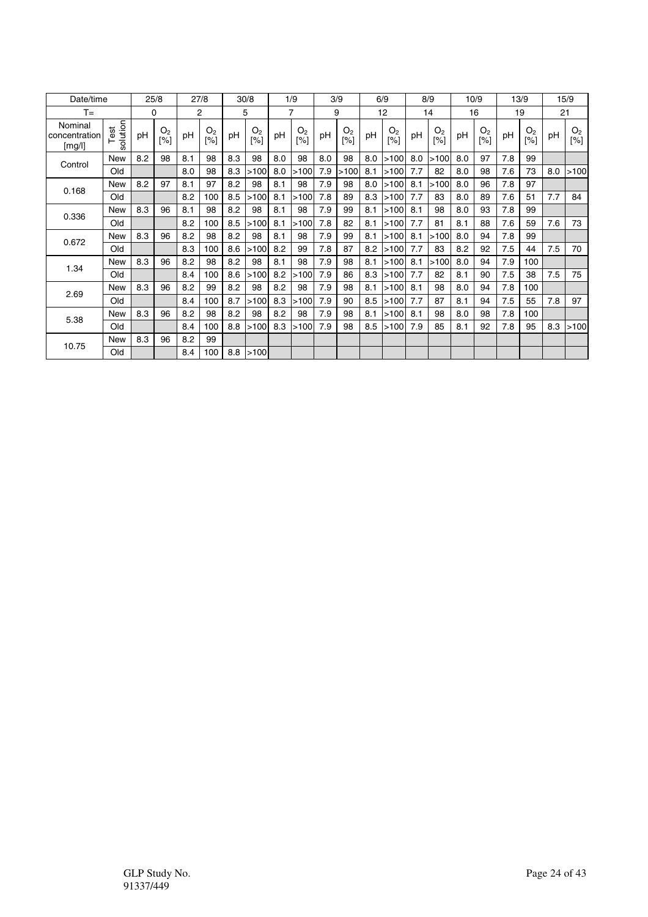| Date/time                          |                  |     | 25/8                  |     | 27/8                  |     | 30/8                  |     | 1/9                   |     | 3/9                   |     | 6/9                   |     | 8/9                   |     | 10/9                  |     | 13/9                  |     | 15/9                  |
|------------------------------------|------------------|-----|-----------------------|-----|-----------------------|-----|-----------------------|-----|-----------------------|-----|-----------------------|-----|-----------------------|-----|-----------------------|-----|-----------------------|-----|-----------------------|-----|-----------------------|
| $T =$                              |                  |     | 0                     |     | 2                     |     | 5                     |     | 7                     |     | 9                     |     | 12                    |     | 14                    |     | 16                    |     | 19                    |     | 21                    |
| Nominal<br>concentration<br>[mg/l] | solution<br>Test | pH  | O <sub>2</sub><br>[%] | pH  | O <sub>2</sub><br>[%] | рH  | O <sub>2</sub><br>[%] | рH  | O <sub>2</sub><br>[%] | pH  | O <sub>2</sub><br>[%] | pH  | O <sub>2</sub><br>[%] | рH  | O <sub>2</sub><br>[%] | рH  | O <sub>2</sub><br>[%] | pH  | O <sub>2</sub><br>[%] | рH  | O <sub>2</sub><br>[%] |
| Control                            | <b>New</b>       | 8.2 | 98                    | 8.1 | 98                    | 8.3 | 98                    | 8.0 | 98                    | 8.0 | 98                    | 8.0 | >100                  | 8.0 | >100                  | 8.0 | 97                    | 7.8 | 99                    |     |                       |
|                                    | Old              |     |                       | 8.0 | 98                    | 8.3 | >100                  | 8.0 | >100                  | 7.9 | >100                  | 8.1 | >100                  | 7.7 | 82                    | 8.0 | 98                    | 7.6 | 73                    | 8.0 | >100                  |
|                                    | <b>New</b>       | 8.2 | 97                    | 8.1 | 97                    | 8.2 | 98                    | 8.1 | 98                    | 7.9 | 98                    | 8.0 | >100                  | 8.1 | >100                  | 8.0 | 96                    | 7.8 | 97                    |     |                       |
| 0.168                              | Old              |     |                       | 8.2 | 100                   | 8.5 | >100                  | 8.1 | >100                  | 7.8 | 89                    | 8.3 | >100                  | 7.7 | 83                    | 8.0 | 89                    | 7.6 | 51                    | 7.7 | 84                    |
|                                    | <b>New</b>       | 8.3 | 96                    | 8.1 | 98                    | 8.2 | 98                    | 8.1 | 98                    | 7.9 | 99                    | 8.1 | >100                  | 8.1 | 98                    | 8.0 | 93                    | 7.8 | 99                    |     |                       |
| 0.336                              | Old              |     |                       | 8.2 | 100                   | 8.5 | >100                  | 8.1 | >100                  | 7.8 | 82                    | 8.1 | >100                  | 7.7 | 81                    | 8.1 | 88                    | 7.6 | 59                    | 7.6 | 73                    |
|                                    | <b>New</b>       | 8.3 | 96                    | 8.2 | 98                    | 8.2 | 98                    | 8.1 | 98                    | 7.9 | 99                    | 8.1 | >100                  | 8.1 | >100                  | 8.0 | 94                    | 7.8 | 99                    |     |                       |
| 0.672                              | Old              |     |                       | 8.3 | 100                   | 8.6 | >100                  | 8.2 | 99                    | 7.8 | 87                    | 8.2 | >100                  | 7.7 | 83                    | 8.2 | 92                    | 7.5 | 44                    | 7.5 | 70                    |
|                                    | <b>New</b>       | 8.3 | 96                    | 8.2 | 98                    | 8.2 | 98                    | 8.1 | 98                    | 7.9 | 98                    | 8.1 | >100                  | 8.1 | >100                  | 8.0 | 94                    | 7.9 | 100                   |     |                       |
| 1.34                               | Old              |     |                       | 8.4 | 100                   | 8.6 | >100                  | 8.2 | >100                  | 7.9 | 86                    | 8.3 | >100                  | 7.7 | 82                    | 8.1 | 90                    | 7.5 | 38                    | 7.5 | 75                    |
|                                    | New              | 8.3 | 96                    | 8.2 | 99                    | 8.2 | 98                    | 8.2 | 98                    | 7.9 | 98                    | 8.1 | >100                  | 8.1 | 98                    | 8.0 | 94                    | 7.8 | 100                   |     |                       |
| 2.69                               | Old              |     |                       | 8.4 | 100                   | 8.7 | >100                  | 8.3 | >100                  | 7.9 | 90                    | 8.5 | >100                  | 7.7 | 87                    | 8.1 | 94                    | 7.5 | 55                    | 7.8 | 97                    |
|                                    | <b>New</b>       | 8.3 | 96                    | 8.2 | 98                    | 8.2 | 98                    | 8.2 | 98                    | 7.9 | 98                    | 8.1 | >100                  | 8.1 | 98                    | 8.0 | 98                    | 7.8 | 100                   |     |                       |
| 5.38                               | Old              |     |                       | 8.4 | 100                   | 8.8 | >100                  | 8.3 | >100                  | 7.9 | 98                    | 8.5 | >100                  | 7.9 | 85                    | 8.1 | 92                    | 7.8 | 95                    | 8.3 | >100                  |
|                                    | <b>New</b>       | 8.3 | 96                    | 8.2 | 99                    |     |                       |     |                       |     |                       |     |                       |     |                       |     |                       |     |                       |     |                       |
| 10.75                              | Old              |     |                       | 8.4 | 100                   | 8.8 | >100                  |     |                       |     |                       |     |                       |     |                       |     |                       |     |                       |     |                       |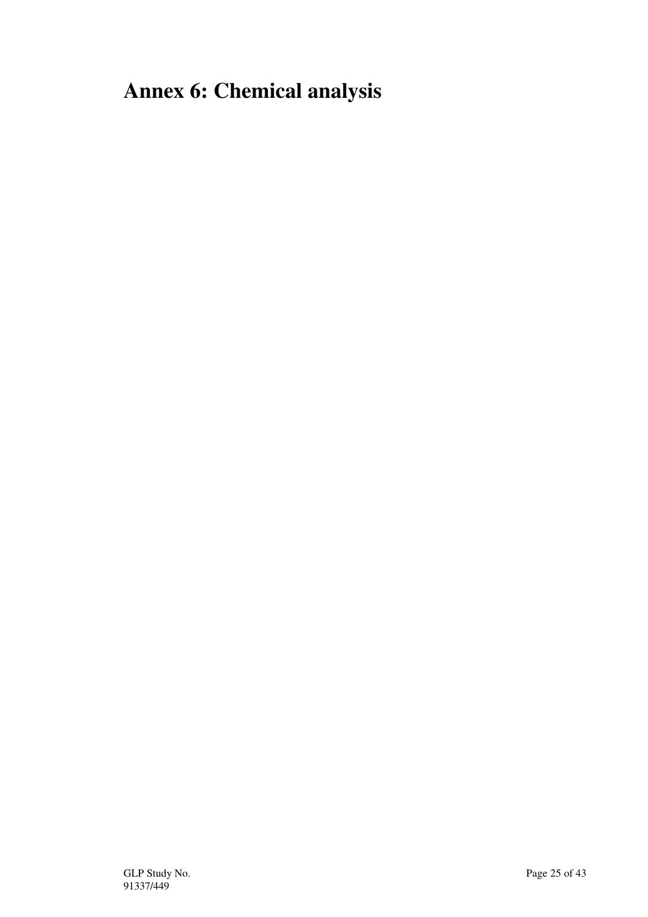# **Annex 6: Chemical analysis**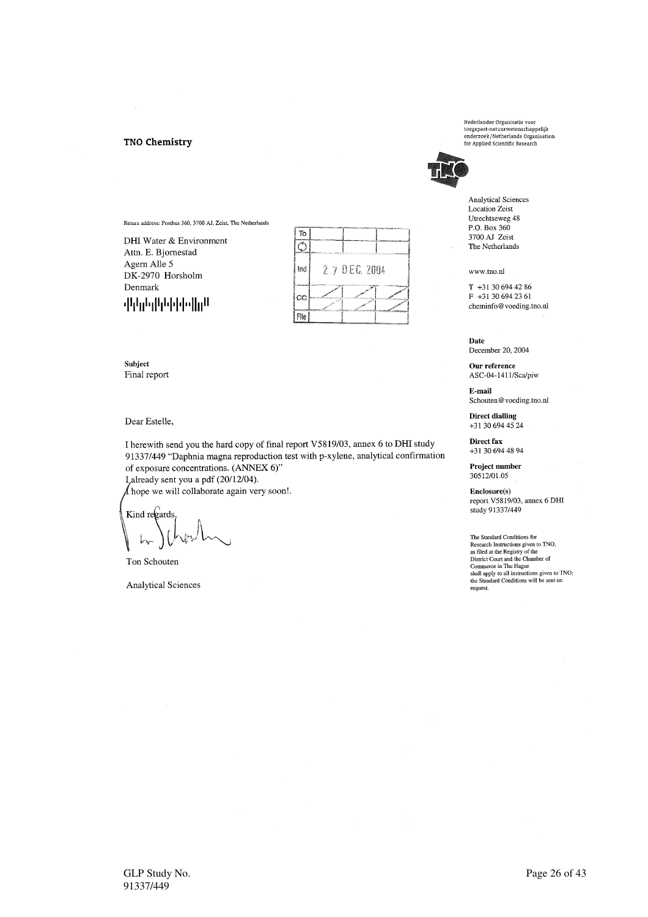### **TNO Chemistry**



Subject Final report

Denmark

Dear Estelle,

I herewith send you the hard copy of final report V5819/03, annex 6 to DHI study 91337/449 "Daphnia magna reproduction test with p-xylene, analytical confirmation of exposure concentrations. (ANNEX 6)"

Lalready sent you a pdf (20/12/04).

Return address: Postbus 360, 3700 AJ, Zeist, The Netherlands

DHI Water & Environment

Attn. E. Bjornestad Agern Alle 5

DK-2970 Horsholm

ակերեցիին ինչվի վ

 $\Lambda$  hope we will collaborate again very soon!.

Kind regards

Ton Schouten

**Analytical Sciences** 

Nederlandse Organisatie voor<br>toegepast-natuurwetenschappelijk toegepast-natuurwetenschappelijk<br>onderzoek/Netherlands Organisation<br>for Applied Scientific Research



**Analytical Sciences** Location Zeist Utrechtseweg 48 P.O. Box 360 3700 AJ Zeist The Netherlands

www.tno.nl

T +31 30 694 42 86 F +31 30 694 23 61 cheminfo@voeding.tno.nl

Date December 20, 2004

Our reference ASC-04-1411/Sca/piw

E-mail Schouten@voeding.tno.nl

**Direct dialling**  $+31$  30 694 45 24

Direct fax +31 30 694 48 94

Project number 30512/01.05

Enclosure(s) report V5819/03, annex 6 DHI study 91337/449

The Standard Conditions for<br>Research Instructions given to TNO,<br>as filed at the Registry of the<br>District Court and the Chamber of<br>Commerce in The Hague<br>shall apply to all instructions given to TNO;<br>the Standard Conditions request.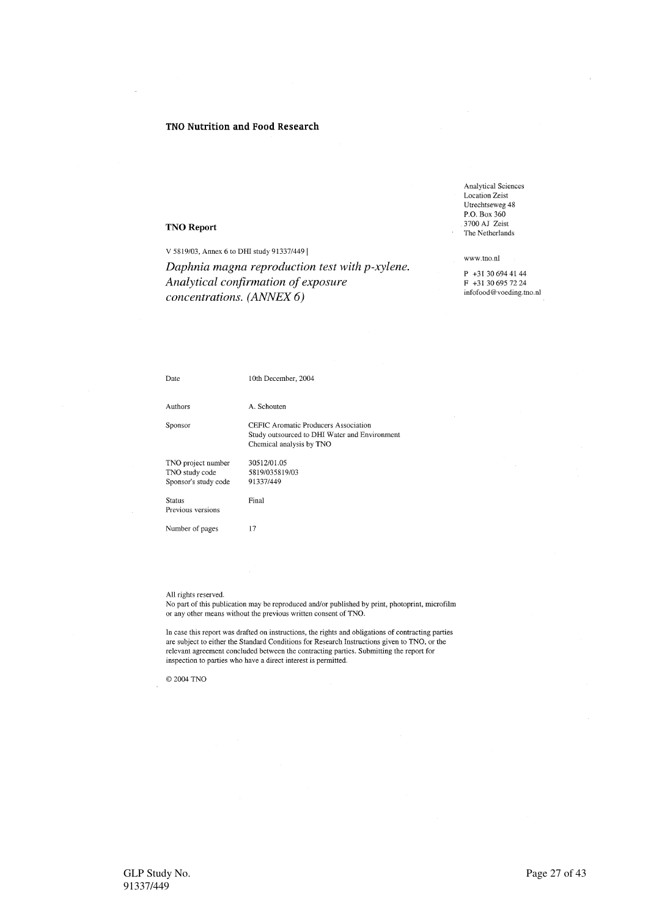### TNO Nutrition and Food Research

### **TNO Report**

V 5819/03, Annex 6 to DHI study 91337/449 |

Daphnia magna reproduction test with p-xylene. Analytical confirmation of exposure concentrations. (ANNEX 6)

**Analytical Sciences** Location Zeist Utrechtseweg 48 P.O. Box 360 3700 AJ Zeist The Netherlands

### www.tno.nl

P +31 30 694 41 44  $F + 31306957224$ infofood@voeding.tno.nl

| Date                                                         | 10th December, 2004                                                                                               |
|--------------------------------------------------------------|-------------------------------------------------------------------------------------------------------------------|
| Authors                                                      | A. Schouten                                                                                                       |
| Sponsor                                                      | CEFIC Aromatic Producers Association<br>Study outsourced to DHI Water and Environment<br>Chemical analysis by TNO |
| TNO project number<br>TNO study code<br>Sponsor's study code | 30512/01.05<br>5819/035819/03<br>91337/449                                                                        |
| <b>Status</b><br>Previous versions                           | Final                                                                                                             |
| Number of pages                                              | 17                                                                                                                |

### All rights reserved.

No part of this publication may be reproduced and/or published by print, photoprint, microfilm or any other means without the previous written consent of TNO.

In case this report was drafted on instructions, the rights and obligations of contracting parties are subject to either the Standard Conditions for Research Instructions given to TNO, or the relevant agreement concluded between the contracting parties. Submitting the report for inspection to parties who have a direct interest is permitted.

© 2004 TNO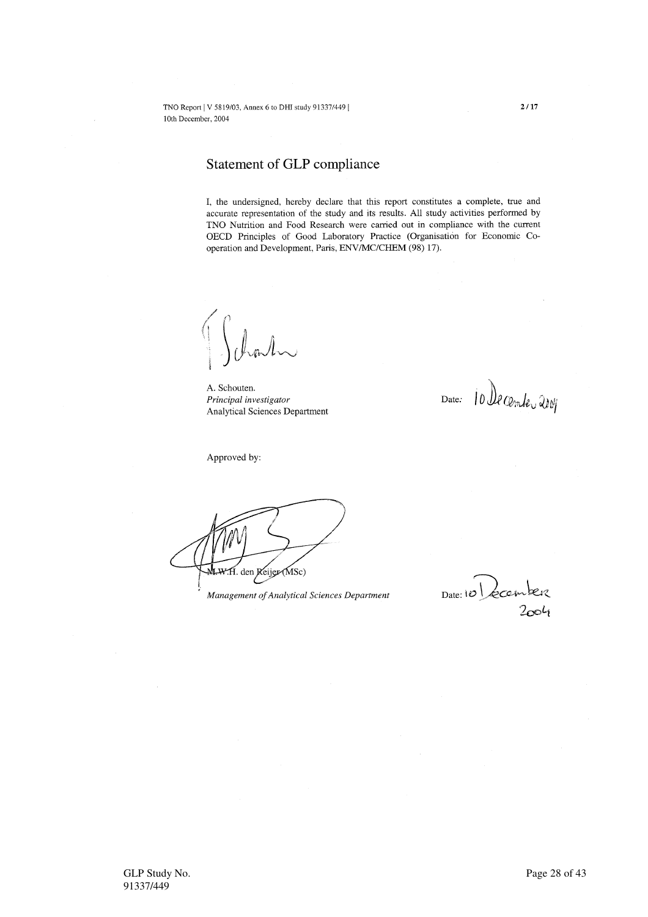## Statement of GLP compliance

I, the undersigned, hereby declare that this report constitutes a complete, true and accurate representation of the study and its results. All study activities performed by TNO Nutrition and Food Research were carried out in compliance with the current OECD Principles of Good Laboratory Practice (Organisation for Economic Cooperation and Development, Paris, ENV/MC/CHEM (98) 17).

A. Schouten. Principal investigator Analytical Sciences Department

Date: 10 De cembre 2009

Approved by:

H. den Reijer (MSc)

Management of Analytical Sciences Department

 $Date: 10$  zcem  $2004$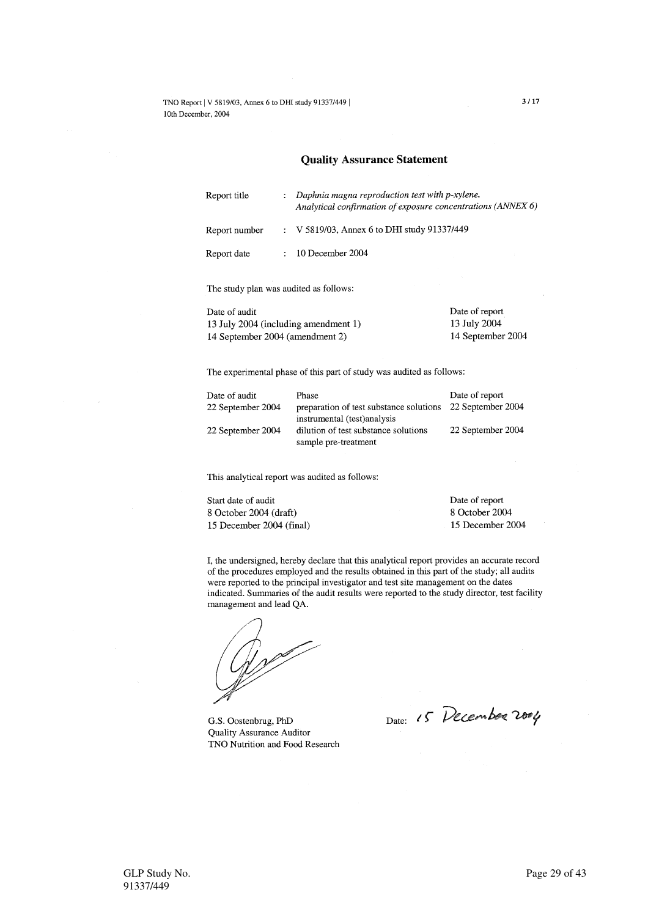### **Quality Assurance Statement**

| $\mathcal{L}$ | Daphnia magna reproduction test with p-xylene.<br>Analytical confirmation of exposure concentrations (ANNEX 6) |
|---------------|----------------------------------------------------------------------------------------------------------------|
|               | : V 5819/03, Annex 6 to DHI study 91337/449                                                                    |
|               | $\therefore$ 10 December 2004                                                                                  |
|               |                                                                                                                |

The study plan was audited as follows:

Date of audit 13 July 2004 (including amendment 1) 14 September 2004 (amendment 2)

13 July 2004 14 September 2004

Date of report

The experimental phase of this part of study was audited as follows:

| Date of audit     | Phase                                                        | Date of report    |
|-------------------|--------------------------------------------------------------|-------------------|
| 22 September 2004 | preparation of test substance solutions                      | 22 September 2004 |
|                   | instrumental (test) analysis                                 |                   |
| 22 September 2004 | dilution of test substance solutions<br>sample pre-treatment | 22 September 2004 |

This analytical report was audited as follows:

Start date of audit 8 October 2004 (draft) 15 December 2004 (final) Date of report 8 October 2004 15 December 2004

I, the undersigned, hereby declare that this analytical report provides an accurate record of the procedures employed and the results obtained in this part of the study; all audits were reported to the principal investigator and test site management on the dates indicated. Summaries of the audit results were reported to the study director, test facility management and lead QA.

Wolf

G.S. Oostenbrug, PhD **Quality Assurance Auditor** TNO Nutrition and Food Research

Date: 15 December 2004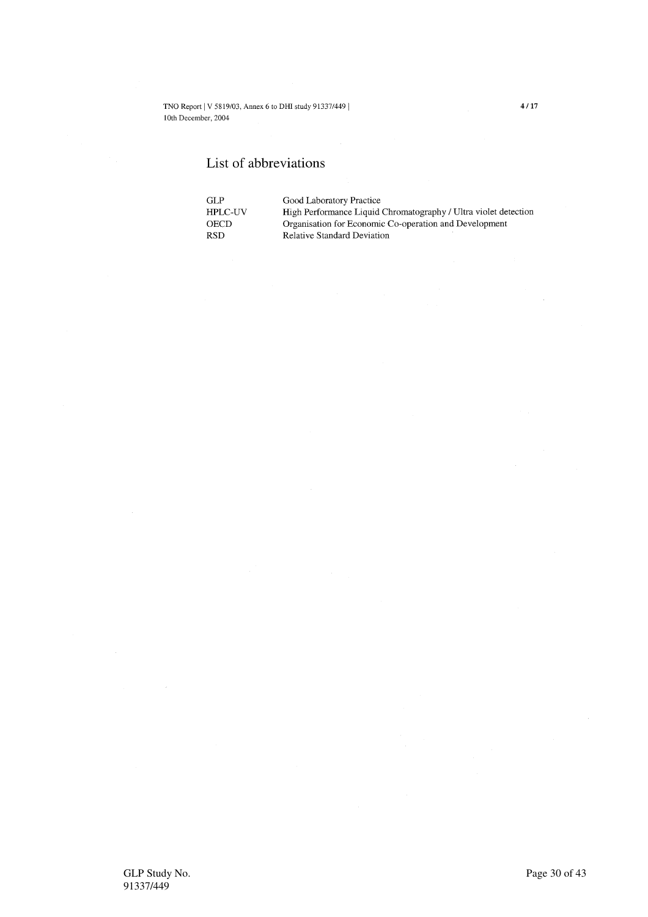## List of abbreviations

| GL P           | Good Laboratory Practice                                        |
|----------------|-----------------------------------------------------------------|
| <b>HPLC-UV</b> | High Performance Liquid Chromatography / Ultra violet detection |
| <b>OECD</b>    | Organisation for Economic Co-operation and Development          |
| <b>RSD</b>     | <b>Relative Standard Deviation</b>                              |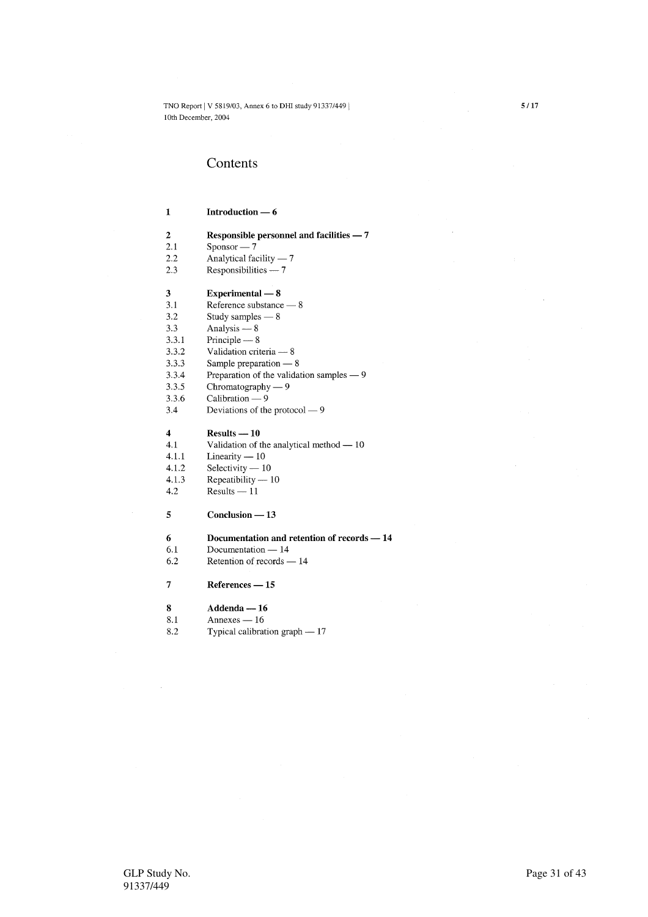## Contents

### $\mathbf{1}$ Introduction  $-6$

- $\overline{2}$ Responsible personnel and facilities - 7
- $2.1$  $Sponsor - 7$
- $2.2$ Analytical facility  $-7$
- $2.3$ Responsibilities  $-7$

### Experimental  $-8$

- $3.1$ Reference substance — 8
- $3.2$ Study samples  $-8$
- $3.3$ Analysis  $-8$

 $\overline{\mathbf{3}}$ 

- $3.3.1$ Principle  $-8$
- $3.3.2$ Validation criteria - 8
- $3.3.3$ Sample preparation  $-8$
- Preparation of the validation samples 9 3.3.4
- $3.3.5$ Chromatography  $-9$
- 3.3.6 Calibration  $-9$
- $3.4$ Deviations of the protocol - 9

### $\overline{4}$  $Results - 10$

- $4.1$ Validation of the analytical method - 10
- $4.1.1$ Linearity  $-10$
- 4.1.2 Selectivity  $-10$
- Repeatibility  $-10$  $4.1.3$
- $Results 11$ 4.2

### $\overline{5}$  $Conclusion - 13$

- $6\phantom{1}$ Documentation and retention of records - 14
- Documentation 14 6.1
- Retention of records 14 6.2
- $\overline{7}$ References - 15

### 8  $Addenda - 16$

- 8.1 Annexes —  $16$
- 8.2 Typical calibration graph - 17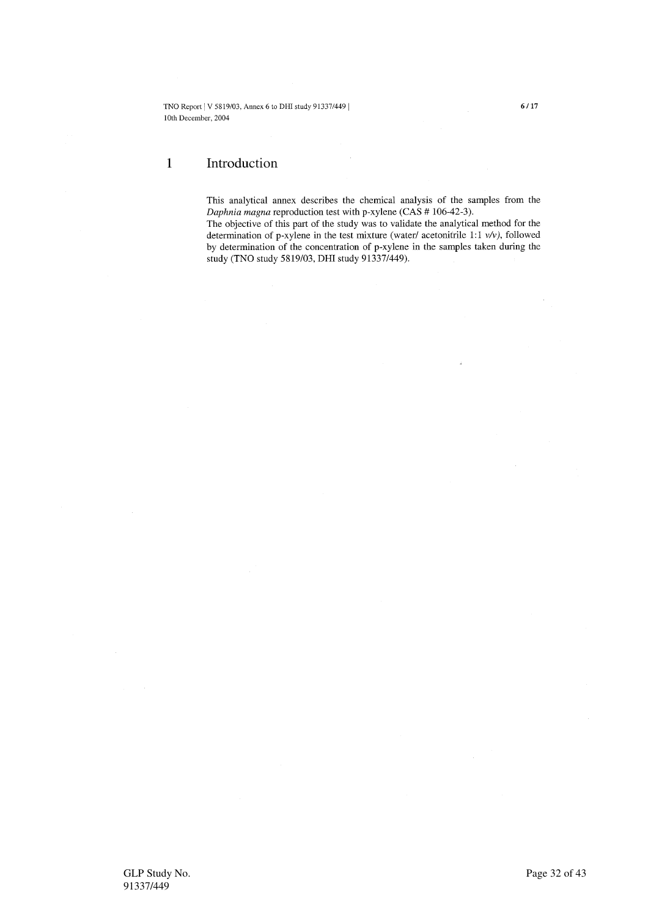### $\mathbf{1}$ Introduction

This analytical annex describes the chemical analysis of the samples from the Daphnia magna reproduction test with p-xylene (CAS # 106-42-3).

The objective of this part of the study was to validate the analytical method for the determination of p-xylene in the test mixture (water/ acetonitrile 1:1  $v/v$ ), followed by determination of the concentration of p-xylene in the samples taken during the study (TNO study 5819/03, DHI study 91337/449).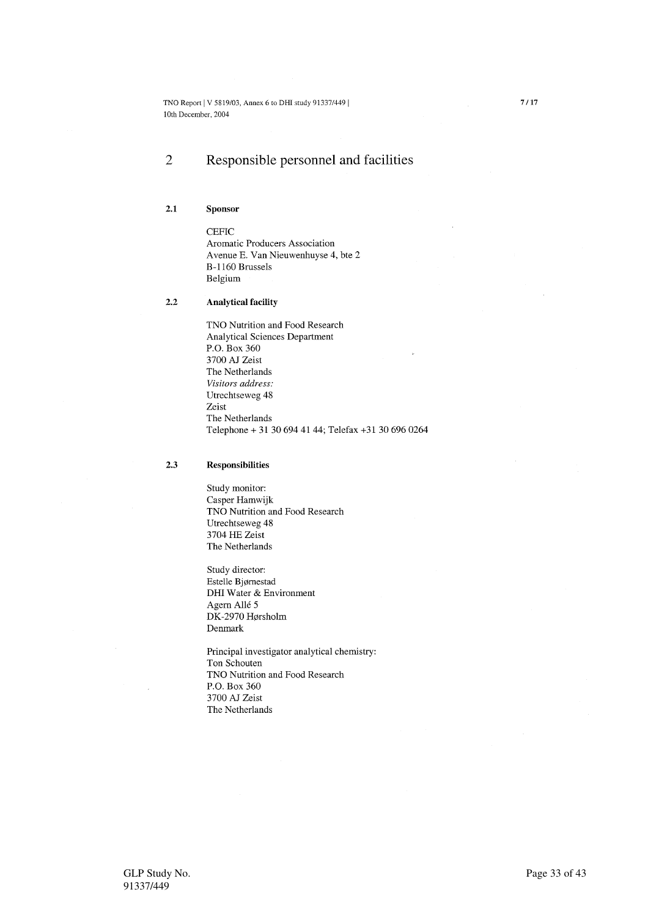### $\overline{2}$ Responsible personnel and facilities

### $2.1$ Sponsor

**CEFIC** Aromatic Producers Association Avenue E. Van Nieuwenhuyse 4, bte 2 B-1160 Brussels Belgium

### $2.2$ **Analytical facility**

TNO Nutrition and Food Research **Analytical Sciences Department** P.O. Box 360 3700 AJ Zeist The Netherlands Visitors address: Utrechtseweg 48 Zeist The Netherlands Telephone + 31 30 694 41 44; Telefax +31 30 696 0264

#### $2.3$ **Responsibilities**

Study monitor: Casper Hamwijk TNO Nutrition and Food Research Utrechtseweg 48 3704 HE Zeist The Netherlands

Study director: Estelle Bjørnestad DHI Water & Environment Agern Allé 5 DK-2970 Hørsholm Denmark

Principal investigator analytical chemistry: Ton Schouten TNO Nutrition and Food Research P.O. Box 360 3700 AJ Zeist The Netherlands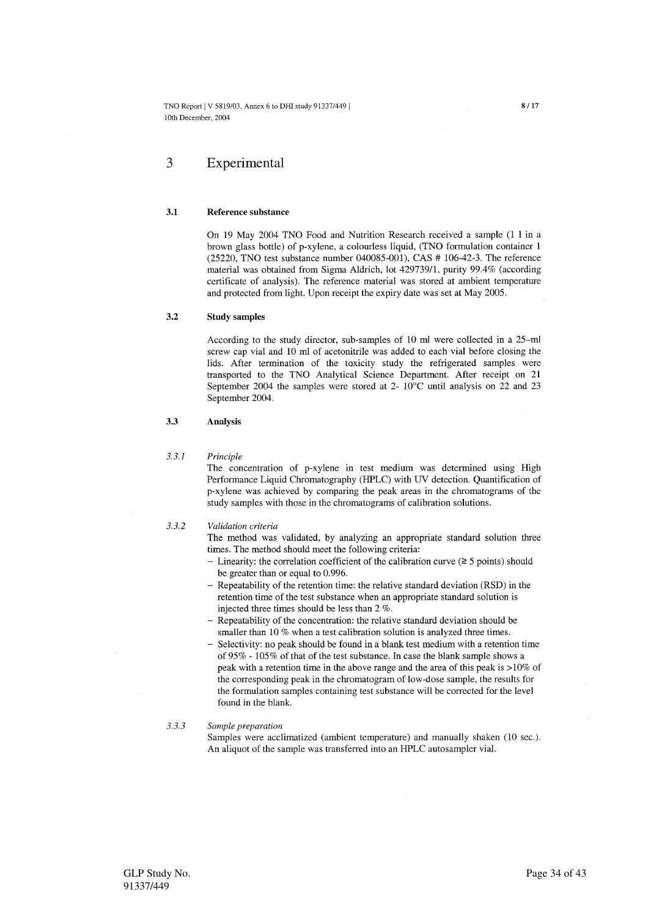### $\overline{\mathcal{E}}$ Experimental

#### $3.1$ Reference substance

On 19 May 2004 TNO Food and Nutrition Research received a sample (1 l in a brown glass bottle) of p-xylene, a colourless liquid, (TNO formulation container 1  $(25220, TNO \text{ test substance number } 040085 - 001)$ , CAS # 106-42-3. The reference material was obtained from Sigma Aldrich, lot 429739/1, purity 99.4% (according certificate of analysis). The reference material was stored at ambient temperature and protected from light. Upon receipt the expiry date was set at May 2005.

#### $3.2$ **Study samples**

According to the study director, sub-samples of 10 ml were collected in a 25-ml screw cap vial and 10 ml of acetonitrile was added to each vial before closing the lids. After termination of the toxicity study the refrigerated samples were transported to the TNO Analytical Science Department. After receipt on 21 September 2004 the samples were stored at 2-  $10^{\circ}$ C until analysis on 22 and 23 September 2004.

### $3.3$ Analysis

#### $3.3.1$ Principle

The concentration of p-xylene in test medium was determined using High Performance Liquid Chromatography (HPLC) with UV detection. Quantification of p-xylene was achieved by comparing the peak areas in the chromatograms of the study samples with those in the chromatograms of calibration solutions.

#### $3.3.2$ Validation criteria

The method was validated, by analyzing an appropriate standard solution three times. The method should meet the following criteria:

- Linearity: the correlation coefficient of the calibration curve ( $\geq$  5 points) should be greater than or equal to 0.996.
- Repeatability of the retention time: the relative standard deviation (RSD) in the retention time of the test substance when an appropriate standard solution is injected three times should be less than 2 %.
- Repeatability of the concentration: the relative standard deviation should be smaller than 10 % when a test calibration solution is analyzed three times.
- Selectivity: no peak should be found in a blank test medium with a retention time of 95% - 105% of that of the test substance. In case the blank sample shows a peak with a retention time in the above range and the area of this peak is >10% of the corresponding peak in the chromatogram of low-dose sample, the results for the formulation samples containing test substance will be corrected for the level found in the blank.

### $3.3.3$ Sample preparation

Samples were acclimatized (ambient temperature) and manually shaken (10 sec.). An aliquot of the sample was transferred into an HPLC autosampler vial.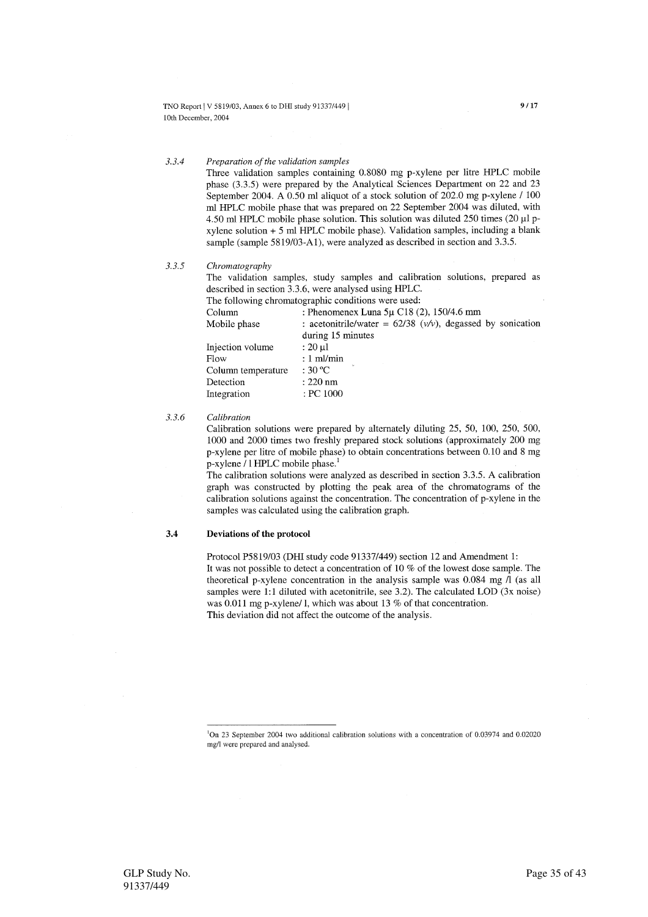#### $3.3.4$ Preparation of the validation samples

Three validation samples containing 0.8080 mg p-xylene per litre HPLC mobile phase (3.3.5) were prepared by the Analytical Sciences Department on 22 and 23 September 2004. A 0.50 ml aliquot of a stock solution of 202.0 mg p-xylene / 100 ml HPLC mobile phase that was prepared on 22 September 2004 was diluted, with 4.50 ml HPLC mobile phase solution. This solution was diluted 250 times (20 µl pxylene solution  $+5$  ml HPLC mobile phase). Validation samples, including a blank sample (sample 5819/03-A1), were analyzed as described in section and 3.3.5.

 $3.3.5$ Chromatography

> The validation samples, study samples and calibration solutions, prepared as described in section 3.3.6, were analysed using HPLC.

The following chromatographic conditions were used:

| Column             | : Phenomenex Luna $5\mu$ C18 (2), 150/4.6 mm                     |
|--------------------|------------------------------------------------------------------|
| Mobile phase       | : acetonitrile/water = $62/38$ ( $v/v$ ), degassed by sonication |
|                    | during 15 minutes                                                |
| Injection volume   | $: 20 \mu l$                                                     |
| Flow               | $: 1 \text{ ml/min}$                                             |
| Column temperature | $\cdot$ 30 °C $\cdot$                                            |
| Detection          | $: 220$ nm                                                       |
| Integration        | : PC 1000                                                        |

#### $3.3.6$ Calibration

Calibration solutions were prepared by alternately diluting 25, 50, 100, 250, 500, 1000 and 2000 times two freshly prepared stock solutions (approximately 200 mg) p-xylene per litre of mobile phase) to obtain concentrations between 0.10 and 8 mg p-xylene / 1 HPLC mobile phase.<sup>1</sup>

The calibration solutions were analyzed as described in section 3.3.5. A calibration graph was constructed by plotting the peak area of the chromatograms of the calibration solutions against the concentration. The concentration of p-xylene in the samples was calculated using the calibration graph.

#### $3.4$ Deviations of the protocol

Protocol P5819/03 (DHI study code 91337/449) section 12 and Amendment 1: It was not possible to detect a concentration of 10 % of the lowest dose sample. The theoretical p-xylene concentration in the analysis sample was 0.084 mg /l (as all samples were 1:1 diluted with acetonitrile, see 3.2). The calculated LOD (3x noise) was  $0.011$  mg p-xylene/1, which was about 13 % of that concentration. This deviation did not affect the outcome of the analysis.

 ${}^{1}$ On 23 September 2004 two additional calibration solutions with a concentration of 0.03974 and 0.02020 mg/l were prepared and analysed.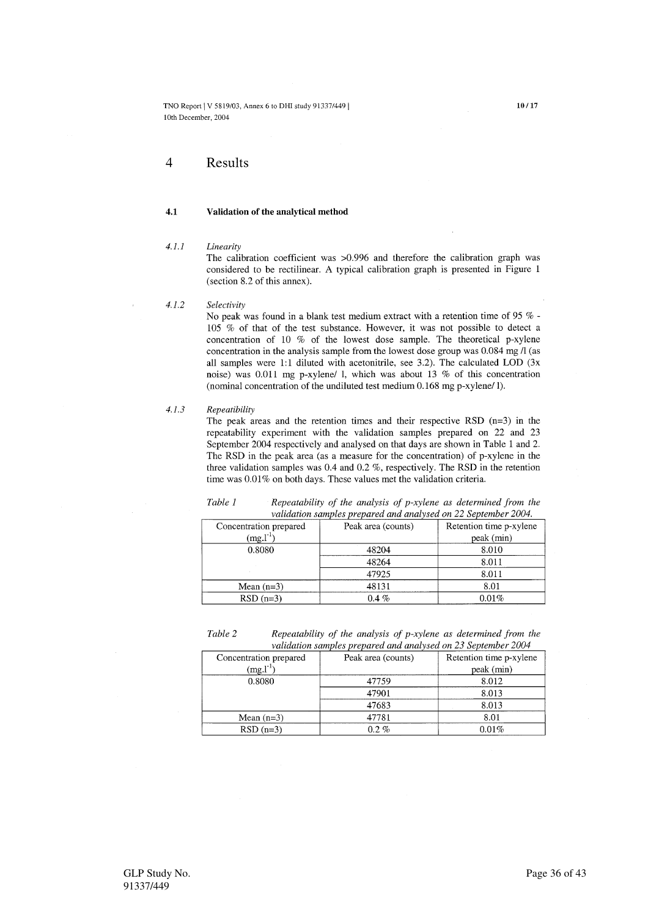$\overline{4}$ Results

### $4.1$ Validation of the analytical method

### $4.1.1$ Linearity

The calibration coefficient was  $>0.996$  and therefore the calibration graph was considered to be rectilinear. A typical calibration graph is presented in Figure 1 (section 8.2 of this annex).

### Selectivity  $4.1.2$

No peak was found in a blank test medium extract with a retention time of 95 % - $105\%$  of that of the test substance. However, it was not possible to detect a concentration of 10  $%$  of the lowest dose sample. The theoretical p-xylene concentration in the analysis sample from the lowest dose group was  $0.084$  mg  $\Lambda$  (as all samples were 1:1 diluted with acetonitrile, see 3.2). The calculated LOD (3x noise) was 0.011 mg p-xylene/ l, which was about 13 % of this concentration (nominal concentration of the undiluted test medium  $0.168$  mg p-xylene/1).

#### $4.1.3$ Repeatibility

The peak areas and the retention times and their respective RSD  $(n=3)$  in the repeatability experiment with the validation samples prepared on 22 and 23 September 2004 respectively and analysed on that days are shown in Table 1 and 2. The RSD in the peak area (as a measure for the concentration) of p-xylene in the three validation samples was 0.4 and 0.2  $%$ , respectively. The RSD in the retention time was 0.01% on both days. These values met the validation criteria.

| validation samples prepared and analysed on 22 September 2004. |                    |                         |  |  |  |  |
|----------------------------------------------------------------|--------------------|-------------------------|--|--|--|--|
| Concentration prepared                                         | Peak area (counts) | Retention time p-xylene |  |  |  |  |
| $(mg.1^{-1})$                                                  |                    | peak (min)              |  |  |  |  |
| 0.8080                                                         | 48204              | 8.010                   |  |  |  |  |
|                                                                | 48264              | 8.011                   |  |  |  |  |
|                                                                | 47925              | 8.011                   |  |  |  |  |
| Mean $(n=3)$                                                   | 48131              | 8.01                    |  |  |  |  |
| $RSD(n=3)$                                                     | $0.4\%$            | 0.01%                   |  |  |  |  |

Repeatability of the analysis of  $p$ -xylene as determined from the Table 1

| Table 2 | Repeatability of the analysis of p-xylene as determined from the |
|---------|------------------------------------------------------------------|
|         | validation samples prepared and analysed on 23 September 2004    |

| Concentration prepared | Peak area (counts) | Retention time p-xylene |  |
|------------------------|--------------------|-------------------------|--|
| $(mg.l^{-1})$          |                    | peak (min)              |  |
| 0.8080                 | 47759              | 8.012                   |  |
|                        | 47901              | 8.013                   |  |
|                        | 47683              | 8.013                   |  |
| Mean $(n=3)$           | 47781              | 8.01                    |  |
| $RSD(n=3)$             | $0.2\ \%$          | $0.01\%$                |  |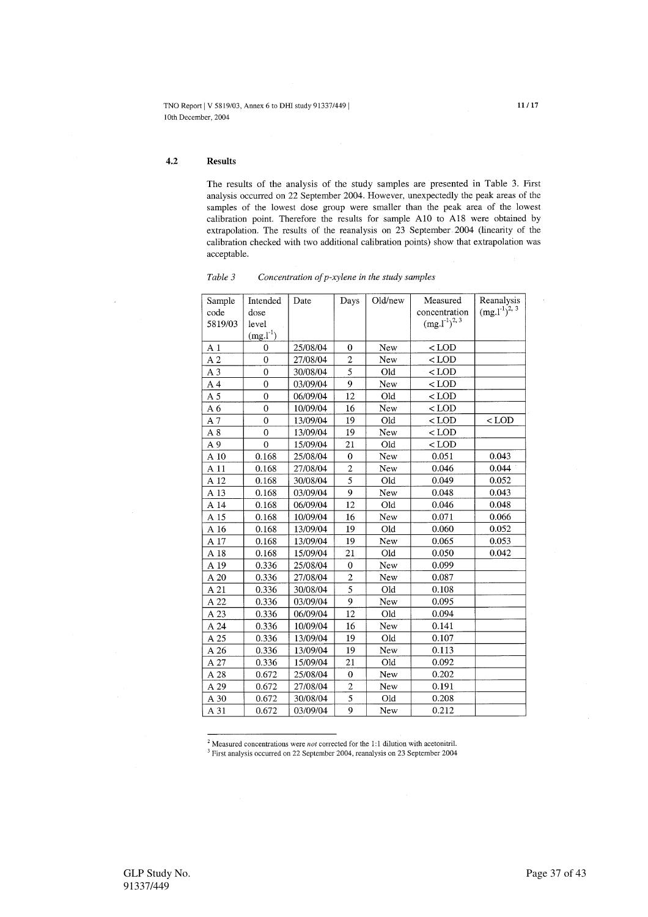$4.2$ **Results** 

> The results of the analysis of the study samples are presented in Table 3. First analysis occurred on 22 September 2004. However, unexpectedly the peak areas of the samples of the lowest dose group were smaller than the peak area of the lowest calibration point. Therefore the results for sample A10 to A18 were obtained by extrapolation. The results of the reanalysis on 23 September 2004 (linearity of the calibration checked with two additional calibration points) show that extrapolation was acceptable.

| Sample         | Intended         | Date     | Days                    | Old/new | Measured        | Reanalysis           |
|----------------|------------------|----------|-------------------------|---------|-----------------|----------------------|
| code           | dose             |          |                         |         | concentration   | $(mg.1^{-1})^{2, 3}$ |
| 5819/03        | level            |          |                         |         | $(mg. l-1)2, 3$ |                      |
|                | $(mg. l-1)$      |          |                         |         |                 |                      |
| A <sub>1</sub> | $\overline{0}$   | 25/08/04 | $\overline{0}$          | New     | $<$ LOD         |                      |
| A <sub>2</sub> | $\theta$         | 27/08/04 | $\overline{c}$          | New     | $<$ LOD         |                      |
| A <sub>3</sub> | $\overline{0}$   | 30/08/04 | $\overline{5}$          | Old     | $<$ LOD         |                      |
| A <sub>4</sub> | $\boldsymbol{0}$ | 03/09/04 | 9                       | New     | $<$ LOD         |                      |
| A <sub>5</sub> | $\mathbf{0}$     | 06/09/04 | 12                      | Old     | $<$ LOD         |                      |
| A <sub>6</sub> | $\mathbf{0}$     | 10/09/04 | 16                      | New     | $<$ LOD         |                      |
| A 7            | $\mathbf 0$      | 13/09/04 | 19                      | Old     | $<$ LOD         | $<$ LOD              |
| A8             | $\theta$         | 13/09/04 | 19                      | New     | $<$ LOD         |                      |
| A 9            | $\overline{0}$   | 15/09/04 | 21                      | Old     | $<$ LOD         |                      |
| A 10           | 0.168            | 25/08/04 | $\overline{0}$          | New     | 0.051           | 0.043                |
| A 11           | 0.168            | 27/08/04 | $\overline{\mathbf{c}}$ | New     | 0.046           | 0.044                |
| A 12           | 0.168            | 30/08/04 | $\overline{5}$          | Old     | 0.049           | 0.052                |
| A 13           | 0.168            | 03/09/04 | 9                       | New     | 0.048           | 0.043                |
| A 14           | 0.168            | 06/09/04 | 12                      | Old     | 0.046           | 0.048                |
| A 15           | 0.168            | 10/09/04 | 16                      | New     | 0.071           | 0.066                |
| A 16           | 0.168            | 13/09/04 | 19                      | Old     | 0.060           | 0.052                |
| A 17           | 0.168            | 13/09/04 | 19                      | New     | 0.065           | 0.053                |
| A 18           | 0.168            | 15/09/04 | 21                      | Old     | 0.050           | 0.042                |
| A 19           | 0.336            | 25/08/04 | $\mathbf 0$             | New     | 0.099           |                      |
| A 20           | 0.336            | 27/08/04 | $\overline{c}$          | New     | 0.087           |                      |
| A 21           | 0.336            | 30/08/04 | $\overline{5}$          | Old     | 0.108           |                      |
| A 22           | 0.336            | 03/09/04 | 9                       | New     | 0.095           |                      |
| A 23           | 0.336            | 06/09/04 | 12                      | Old     | 0.094           |                      |
| A 24           | 0.336            | 10/09/04 | 16                      | New     | 0.141           |                      |
| A 25           | 0.336            | 13/09/04 | 19                      | Old     | 0.107           |                      |
| A 26           | 0.336            | 13/09/04 | 19                      | New     | 0.113           |                      |
| A 27           | 0.336            | 15/09/04 | 21                      | Old     | 0.092           |                      |
| A 28           | 0.672            | 25/08/04 | $\boldsymbol{0}$        | New     | 0.202           |                      |
| A 29           | 0.672            | 27/08/04 | $\overline{c}$          | New     | 0.191           |                      |
| A 30           | 0.672            | 30/08/04 | 5                       | Old     | 0.208           |                      |
| A 31           | 0.672            | 03/09/04 | 9                       | New     | 0.212           |                      |

Concentration of p-xylene in the study samples Table 3

<sup>2</sup> Measured concentrations were *not* corrected for the 1:1 dilution with acetonitril. <sup>3</sup> First analysis occurred on 22 September 2004, reanalysis on 23 September 2004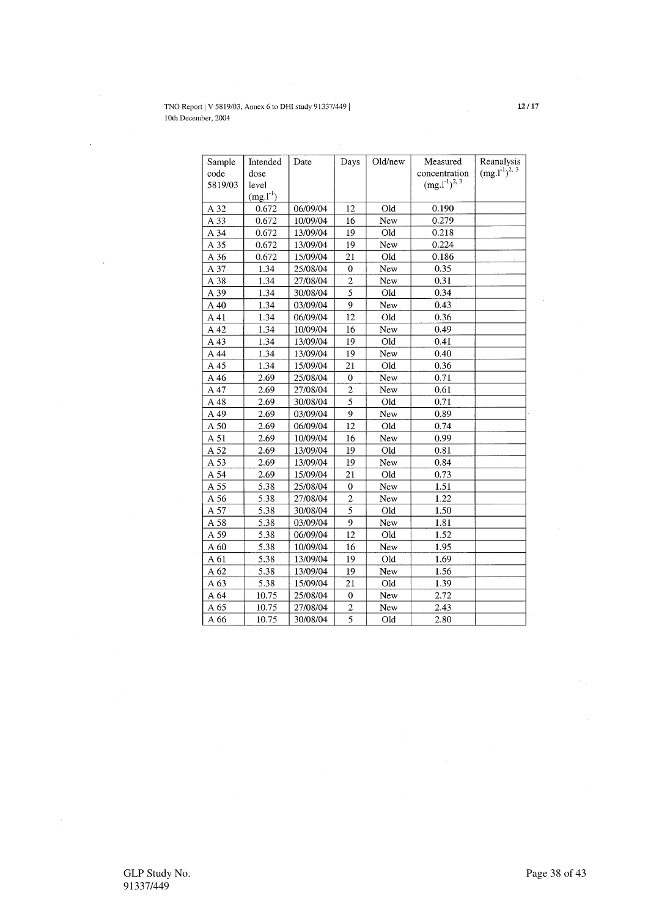| Sample<br>code | Intended<br>dose | Date     | Days                    | Old/new | Measured<br>concentration | Reanalysis<br>$(mg.1^{1})^{2,3}$ |
|----------------|------------------|----------|-------------------------|---------|---------------------------|----------------------------------|
| 5819/03        | level            |          |                         |         | $(mg.1^{-1})^{2,3}$       |                                  |
|                | $(mg.l-1)$       |          |                         |         |                           |                                  |
| A 32           | 0.672            | 06/09/04 | 12                      | Old     | 0.190                     |                                  |
| A 33           | 0.672            | 10/09/04 | 16                      | New     | 0.279                     |                                  |
| A 34           | 0.672            | 13/09/04 | 19                      | Old     | 0.218                     |                                  |
| A 35           | 0.672            | 13/09/04 | 19                      | New     | 0.224                     |                                  |
| A 36           | 0.672            | 15/09/04 | 21                      | Old     | 0.186                     |                                  |
| A 37           | 1.34             | 25/08/04 | $\mathbf{0}$            | New     | 0.35                      |                                  |
| A 38           | 1.34             | 27/08/04 | $\overline{c}$          | New     | 0.31                      |                                  |
| A 39           | 1.34             | 30/08/04 | 5                       | Old     | 0.34                      |                                  |
| A 40           | 1.34             | 03/09/04 | 9                       | New     | 0.43                      |                                  |
| A41            | 1.34             | 06/09/04 | 12                      | Old     | 0.36                      |                                  |
| A 42           | 1.34             | 10/09/04 | 16                      | New     | 0.49                      |                                  |
| A 43           | 1.34             | 13/09/04 | 19                      | Old     | 0.41                      |                                  |
| A 44           | 1.34             | 13/09/04 | 19                      | New     | 0.40                      |                                  |
| A 45           | 1.34             | 15/09/04 | 21                      | Old     | 0.36                      |                                  |
| A 46           | 2.69             | 25/08/04 | $\mathbf 0$             | New     | 0.71                      |                                  |
| A 47           | 2.69             | 27/08/04 | $\overline{c}$          | New     | 0.61                      |                                  |
| A 48           | 2.69             | 30/08/04 | $\overline{5}$          | Old     | 0.71                      |                                  |
| A 49           | 2.69             | 03/09/04 | 9                       | New     | 0.89                      |                                  |
| A 50           | 2.69             | 06/09/04 | 12                      | Old     | 0.74                      |                                  |
| A 51           | 2.69             | 10/09/04 | 16                      | New     | 0.99                      |                                  |
| A 52           | 2.69             | 13/09/04 | 19                      | Old     | 0.81                      |                                  |
| A 53           | 2.69             | 13/09/04 | 19                      | New     | 0.84                      |                                  |
| A 54           | 2.69             | 15/09/04 | 21                      | Old     | 0.73                      |                                  |
| A 55           | 5.38             | 25/08/04 | $\mathbf 0$             | New     | 1.51                      |                                  |
| A 56           | 5.38             | 27/08/04 | $\overline{c}$          | New     | 1.22                      |                                  |
| A 57           | 5.38             | 30/08/04 | $\overline{5}$          | Old     | 1.50                      |                                  |
| A 58           | 5.38             | 03/09/04 | 9                       | New     | 1.81                      |                                  |
| A 59           | 5.38             | 06/09/04 | 12                      | Old     | 1.52                      |                                  |
| A 60           | 5.38             | 10/09/04 | 16                      | New     | 1.95                      |                                  |
| A 61           | 5.38             | 13/09/04 | 19                      | Old     | 1.69                      |                                  |
| A 62           | 5.38             | 13/09/04 | 19                      | New     | 1.56                      |                                  |
| A 63           | 5.38             | 15/09/04 | $\overline{21}$         | Old     | 1.39                      |                                  |
| A 64           | 10.75            | 25/08/04 | $\mathbf 0$             | New     | 2.72                      |                                  |
| A 65           | 10.75            | 27/08/04 | $\overline{\mathbf{c}}$ | New     | 2.43                      |                                  |
| A 66           | 10.75            | 30/08/04 | $\overline{5}$          | Old     | 2.80                      |                                  |

 $\mathcal{A}$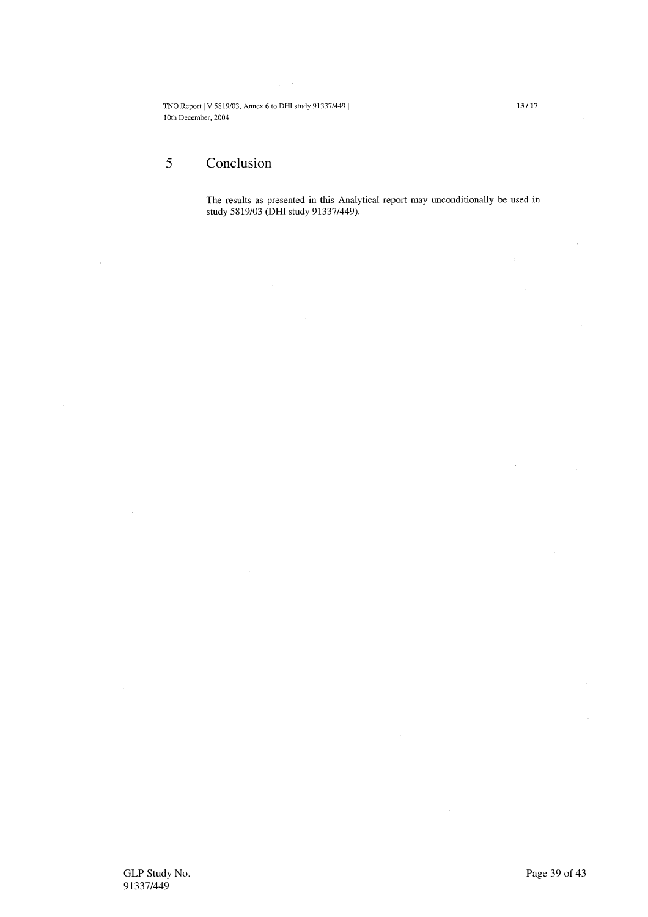### $\overline{5}$ Conclusion

l,

The results as presented in this Analytical report may unconditionally be used in study 5819/03 (DHI study 91337/449).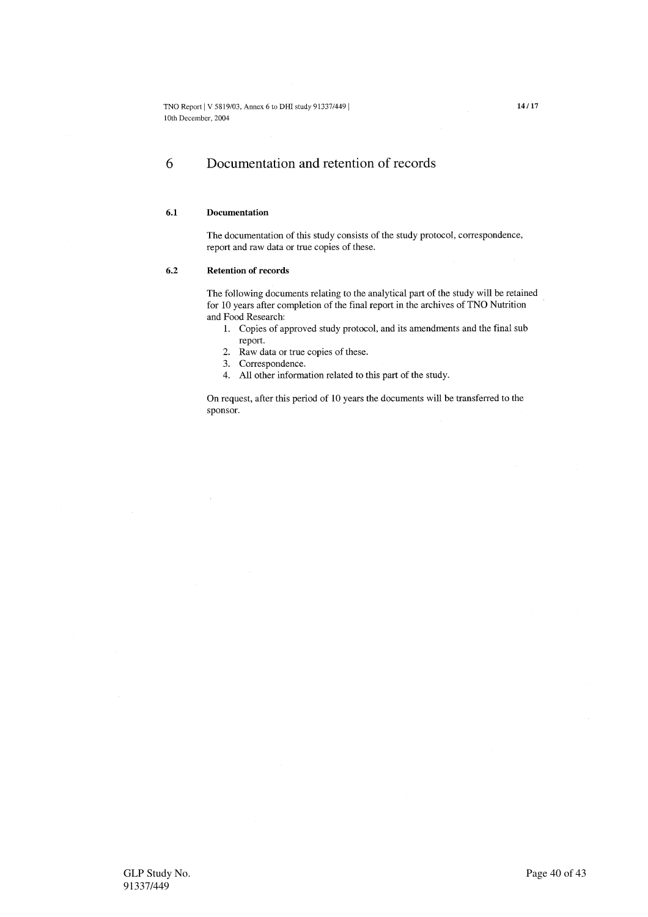### 6 Documentation and retention of records

### $6.1$ Documentation

The documentation of this study consists of the study protocol, correspondence, report and raw data or true copies of these.

### $6.2$ **Retention of records**

The following documents relating to the analytical part of the study will be retained for 10 years after completion of the final report in the archives of TNO Nutrition and Food Research:

- 1. Copies of approved study protocol, and its amendments and the final sub report.
- 2. Raw data or true copies of these.
- 3. Correspondence.
- 4. All other information related to this part of the study.

On request, after this period of 10 years the documents will be transferred to the sponsor.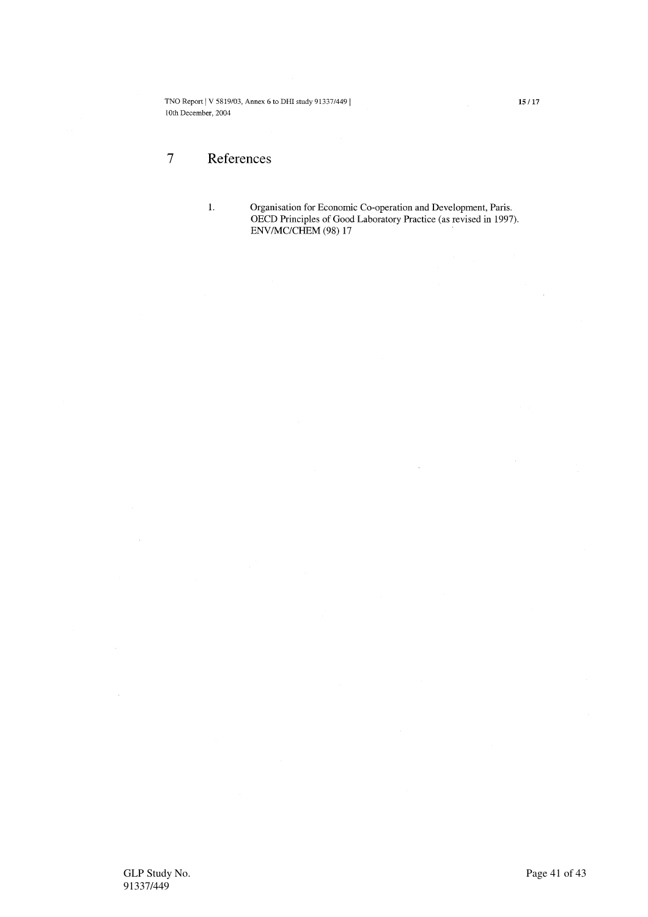### $\overline{7}$ References

 $\mathbf{1}$ .

Organisation for Economic Co-operation and Development, Paris. OECD Principles of Good Laboratory Practice (as revised in 1997).<br>ENV/MC/CHEM (98) 17

 $\bar{\rm{b}}$ 

 $\bar{\mathcal{A}}$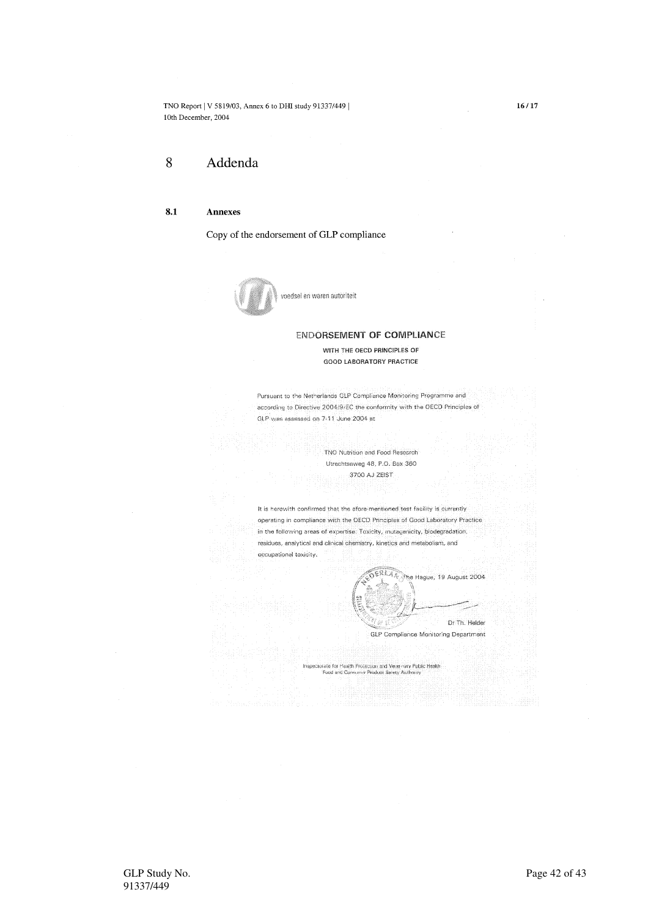### 8 Addenda

#### $8.1$ Annexes

Copy of the endorsement of GLP compliance



voedsel en waren autoriteit

### **ENDORSEMENT OF COMPLIANCE**

WITH THE OECD PRINCIPLES OF **GOOD LABORATORY PRACTICE** 

Pursuant to the Netherlands GLP Compliance Monitoring Programme and according to Directive 2004/9/EC the conformity with the OECD Principles of GLP was assessed on 7-11 June 2004 at

> TNO Nutrition and Food Research Utrechtseweg 48, P.O. Box 360 3700 AJ ZEIST

It is herewith confirmed that the afore-mentioned test facility is currently operating in compliance with the OECD Principles of Good Laboratory Practice in the following areas of expertise: Toxicity, mutagenicity, biodegradation, residues, analytical and clinical chemistry, kinetics and metabolism, and occupational toxicity.

**SERIA The Hague, 19 August 2004** Dr Th. Helder

**GLP Compliance Monitoring Department** 

Inspectorate for Health Protection and Vetermary Public Health<br>Food and Consumer Product Sarety Authority